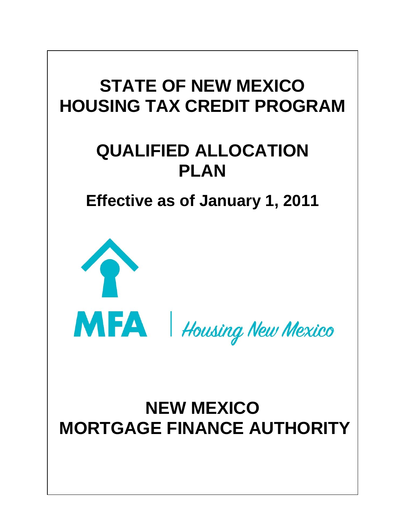

# **QUALIFIED ALLOCATION PLAN**

**Effective as of January 1, 2011**



MFA | Housing New Mexico

# <span id="page-0-0"></span>**NEW MEXICO MORTGAGE FINANCE AUTHORITY**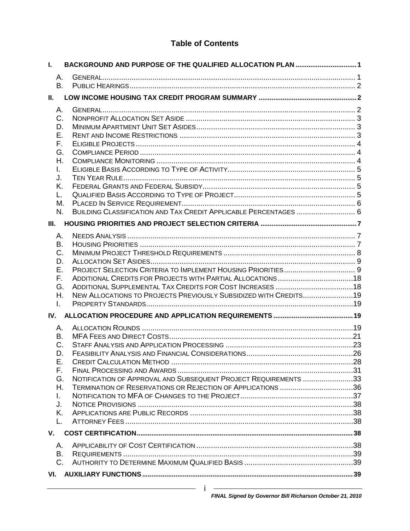# **Table of Contents**

| L.  | BACKGROUND AND PURPOSE OF THE QUALIFIED ALLOCATION PLAN  1       |  |
|-----|------------------------------------------------------------------|--|
| Α.  |                                                                  |  |
| B.  |                                                                  |  |
| Н.  |                                                                  |  |
| А.  |                                                                  |  |
| C.  |                                                                  |  |
| D.  |                                                                  |  |
| Е.  |                                                                  |  |
| F.  |                                                                  |  |
| G.  |                                                                  |  |
| Η.  |                                                                  |  |
| L.  |                                                                  |  |
| J.  |                                                                  |  |
| Κ.  |                                                                  |  |
| L.  |                                                                  |  |
| М.  |                                                                  |  |
| N.  | BUILDING CLASSIFICATION AND TAX CREDIT APPLICABLE PERCENTAGES  6 |  |
| Ш.  |                                                                  |  |
| А.  |                                                                  |  |
| В.  |                                                                  |  |
| C.  |                                                                  |  |
| D.  |                                                                  |  |
| Е.  |                                                                  |  |
| F.  |                                                                  |  |
| G.  |                                                                  |  |
| Η.  | NEW ALLOCATIONS TO PROJECTS PREVIOUSLY SUBSIDIZED WITH CREDITS19 |  |
| I.  |                                                                  |  |
| IV. |                                                                  |  |
| А.  |                                                                  |  |
| В.  |                                                                  |  |
| C.  |                                                                  |  |
| D.  |                                                                  |  |
| Ε.  |                                                                  |  |
| F.  |                                                                  |  |
| G.  | NOTIFICATION OF APPROVAL AND SUBSEQUENT PROJECT REQUIREMENTS 33  |  |
| Η.  | TERMINATION OF RESERVATIONS OR REJECTION OF APPLICATIONS 36      |  |
| L.  |                                                                  |  |
| J.  |                                                                  |  |
| Κ.  |                                                                  |  |
| L.  |                                                                  |  |
| V.  |                                                                  |  |
| Α.  |                                                                  |  |
| В.  |                                                                  |  |
| C.  |                                                                  |  |
| VI. |                                                                  |  |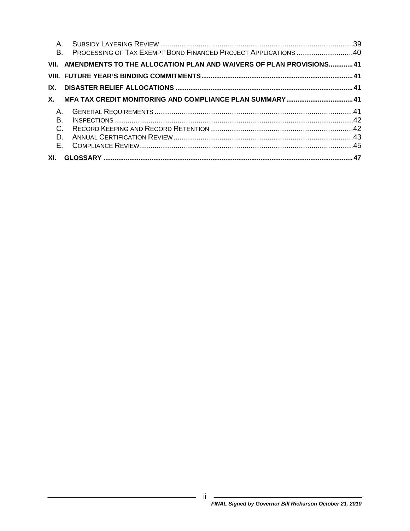| Α.<br>В. | PROCESSING OF TAX EXEMPT BOND FINANCED PROJECT APPLICATIONS 40          |  |
|----------|-------------------------------------------------------------------------|--|
|          |                                                                         |  |
|          | VII. AMENDMENTS TO THE ALLOCATION PLAN AND WAIVERS OF PLAN PROVISIONS41 |  |
|          |                                                                         |  |
| IX.      |                                                                         |  |
|          |                                                                         |  |
| $A_{1}$  |                                                                         |  |
| В.       |                                                                         |  |
| $C$ .    |                                                                         |  |
| D.       |                                                                         |  |
| Е.       |                                                                         |  |
| XI.      |                                                                         |  |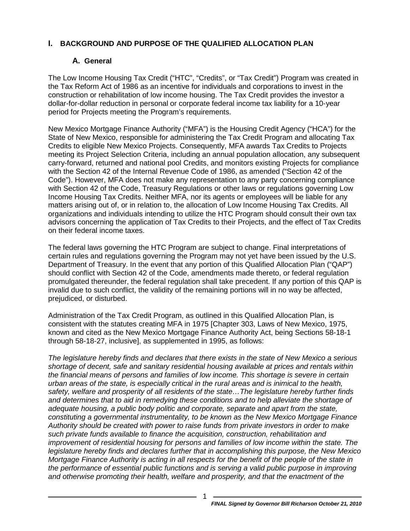#### <span id="page-3-1"></span><span id="page-3-0"></span>**I. BACKGROUND AND PURPOSE OF THE QUALIFIED ALLOCATION PLAN**

## **A. General**

The Low Income Housing Tax Credit ("HTC", "Credits", or "Tax Credit") Program was created in the Tax Reform Act of 1986 as an incentive for individuals and corporations to invest in the construction or rehabilitation of low income housing. The Tax Credit provides the investor a dollar-for-dollar reduction in personal or corporate federal income tax liability for a 10-year period for Projects meeting the Program's requirements.

New Mexico Mortgage Finance Authority ("MFA") is the Housing Credit Agency ("HCA") for the State of New Mexico, responsible for administering the Tax Credit Program and allocating Tax Credits to eligible New Mexico Projects. Consequently, MFA awards Tax Credits to Projects meeting its Project Selection Criteria, including an annual population allocation, any subsequent carry-forward, returned and national pool Credits, and monitors existing Projects for compliance with the Section 42 of the Internal Revenue Code of 1986, as amended ("Section 42 of the Code"). However, MFA does not make any representation to any party concerning compliance with Section 42 of the Code, Treasury Regulations or other laws or regulations governing Low Income Housing Tax Credits. Neither MFA, nor its agents or employees will be liable for any matters arising out of, or in relation to, the allocation of Low Income Housing Tax Credits. All organizations and individuals intending to utilize the HTC Program should consult their own tax advisors concerning the application of Tax Credits to their Projects, and the effect of Tax Credits on their federal income taxes.

The federal laws governing the HTC Program are subject to change. Final interpretations of certain rules and regulations governing the Program may not yet have been issued by the U.S. Department of Treasury. In the event that any portion of this Qualified Allocation Plan ("QAP") should conflict with Section 42 of the Code, amendments made thereto, or federal regulation promulgated thereunder, the federal regulation shall take precedent. If any portion of this QAP is invalid due to such conflict, the validity of the remaining portions will in no way be affected, prejudiced, or disturbed.

Administration of the Tax Credit Program, as outlined in this Qualified Allocation Plan, is consistent with the statutes creating MFA in 1975 [Chapter 303, Laws of New Mexico, 1975, known and cited as the New Mexico Mortgage Finance Authority Act, being Sections 58-18-1 through 58-18-27, inclusive], as supplemented in 1995, as follows:

*The legislature hereby finds and declares that there exists in the state of New Mexico a serious shortage of decent, safe and sanitary residential housing available at prices and rentals within the financial means of persons and families of low income. This shortage is severe in certain urban areas of the state, is especially critical in the rural areas and is inimical to the health, safety, welfare and prosperity of all residents of the state…The legislature hereby further finds and determines that to aid in remedying these conditions and to help alleviate the shortage of adequate housing, a public body politic and corporate, separate and apart from the state, constituting a governmental instrumentality, to be known as the New Mexico Mortgage Finance Authority should be created with power to raise funds from private investors in order to make such private funds available to finance the acquisition, construction, rehabilitation and improvement of residential housing for persons and families of low income within the state. The legislature hereby finds and declares further that in accomplishing this purpose, the New Mexico Mortgage Finance Authority is acting in all respects for the benefit of the people of the state in the performance of essential public functions and is serving a valid public purpose in improving and otherwise promoting their health, welfare and prosperity, and that the enactment of the*

1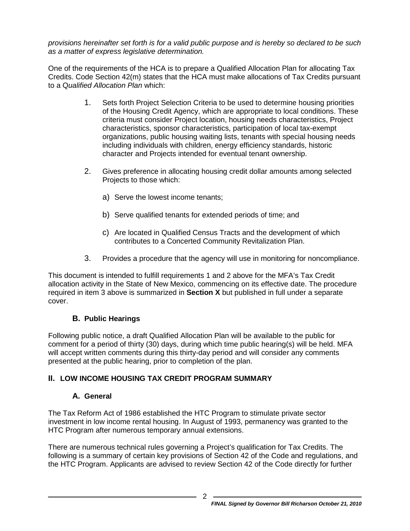*provisions hereinafter set forth is for a valid public purpose and is hereby so declared to be such as a matter of express legislative determination.*

One of the requirements of the HCA is to prepare a Qualified Allocation Plan for allocating Tax Credits. Code Section 42(m) states that the HCA must make allocations of Tax Credits pursuant to a Q*ualified Allocation Plan* which:

- 1. Sets forth Project Selection Criteria to be used to determine housing priorities of the Housing Credit Agency, which are appropriate to local conditions. These criteria must consider Project location, housing needs characteristics, Project characteristics, sponsor characteristics, participation of local tax-exempt organizations, public housing waiting lists, tenants with special housing needs including individuals with children, energy efficiency standards, historic character and Projects intended for eventual tenant ownership.
- 2. Gives preference in allocating housing credit dollar amounts among selected Projects to those which:
	- a) Serve the lowest income tenants;
	- b) Serve qualified tenants for extended periods of time; and
	- c) Are located in Qualified Census Tracts and the development of which contributes to a Concerted Community Revitalization Plan.
- 3. Provides a procedure that the agency will use in monitoring for noncompliance.

<span id="page-4-3"></span>This document is intended to fulfill requirements 1 and 2 above for the MFA's Tax Credit allocation activity in the State of New Mexico, commencing on its effective date. The procedure required in item [3](#page-4-3) above is summarized in **Section X** but published in full under a separate cover.

## **B. Public Hearings**

<span id="page-4-0"></span>Following public notice, a draft Qualified Allocation Plan will be available to the public for comment for a period of thirty (30) days, during which time public hearing(s) will be held. MFA will accept written comments during this thirty-day period and will consider any comments presented at the public hearing, prior to completion of the plan.

## <span id="page-4-2"></span><span id="page-4-1"></span>**II. LOW INCOME HOUSING TAX CREDIT PROGRAM SUMMARY**

## **A. General**

The Tax Reform Act of 1986 established the HTC Program to stimulate private sector investment in low income rental housing. In August of 1993, permanency was granted to the HTC Program after numerous temporary annual extensions.

There are numerous technical rules governing a Project's qualification for Tax Credits. The following is a summary of certain key provisions of Section 42 of the Code and regulations, and the HTC Program. Applicants are advised to review Section 42 of the Code directly for further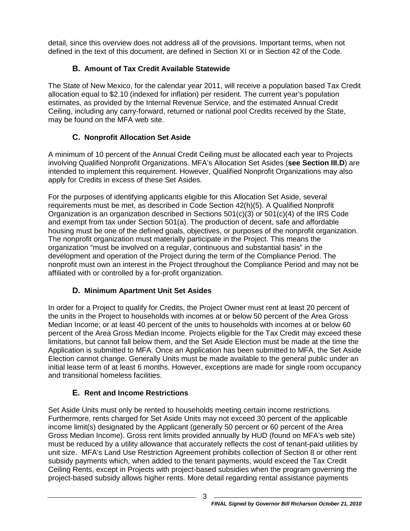detail, since this overview does not address all of the provisions. Important terms, when not defined in the text of this document, are defined in Section XI or in Section 42 of the Code.

# **B. Amount of Tax Credit Available Statewide**

The State of New Mexico, for the calendar year 2011, will receive a population based Tax Credit allocation equal to \$2.10 (indexed for inflation) per resident. The current year's population estimates, as provided by the Internal Revenue Service, and the estimated Annual Credit Ceiling, including any carry-forward, returned or national pool Credits received by the State, may be found on the MFA web site.

# **C. Nonprofit Allocation Set Aside**

<span id="page-5-0"></span>A minimum of 10 percent of the Annual Credit Ceiling must be allocated each year to Projects involving Qualified Nonprofit Organizations. MFA's Allocation Set Asides (**see Section III.D**) are intended to implement this requirement. However, Qualified Nonprofit Organizations may also apply for Credits in excess of these Set Asides.

For the purposes of identifying applicants eligible for this Allocation Set Aside, several requirements must be met, as described in Code Section 42(h)(5). A Qualified Nonprofit Organization is an organization described in Sections  $501(c)(3)$  or  $501(c)(4)$  of the IRS Code and exempt from tax under Section 501(a). The production of decent, safe and affordable housing must be one of the defined goals, objectives, or purposes of the nonprofit organization. The nonprofit organization must materially participate in the Project. This means the organization "must be involved on a regular, continuous and substantial basis" in the development and operation of the Project during the term of the Compliance Period. The nonprofit must own an interest in the Project throughout the Compliance Period and may not be affiliated with or controlled by a for-profit organization.

# **D. Minimum Apartment Unit Set Asides**

<span id="page-5-1"></span>In order for a Project to qualify for Credits, the Project Owner must rent at least 20 percent of the units in the Project to households with incomes at or below 50 percent of the Area Gross Median Income; or at least 40 percent of the units to households with incomes at or below 60 percent of the Area Gross Median Income. Projects eligible for the Tax Credit may exceed these limitations, but cannot fall below them, and the Set Aside Election must be made at the time the Application is submitted to MFA. Once an Application has been submitted to MFA, the Set Aside Election cannot change. Generally Units must be made available to the general public under an initial lease term of at least 6 months. However, exceptions are made for single room occupancy and transitional homeless facilities.

# **E. Rent and Income Restrictions**

<span id="page-5-2"></span>Set Aside Units must only be rented to households meeting certain income restrictions. Furthermore, rents charged for Set Aside Units may not exceed 30 percent of the applicable income limit(s) designated by the Applicant (generally 50 percent or 60 percent of the Area Gross Median Income). Gross rent limits provided annually by HUD (found on MFA's web site) must be reduced by a utility allowance that accurately reflects the cost of tenant-paid utilities by unit size. MFA's Land Use Restriction Agreement prohibits collection of Section 8 or other rent subsidy payments which, when added to the tenant payments, would exceed the Tax Credit Ceiling Rents, except in Projects with project-based subsidies when the program governing the project-based subsidy allows higher rents. More detail regarding rental assistance payments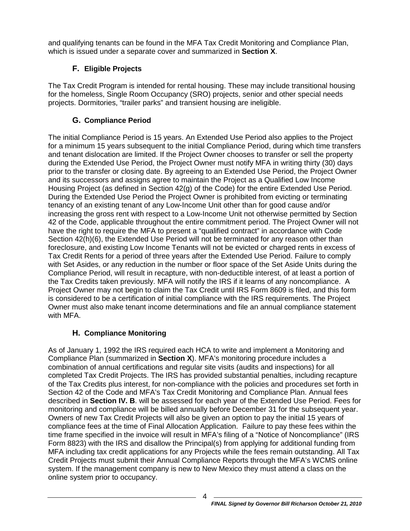and qualifying tenants can be found in the MFA Tax Credit Monitoring and Compliance Plan, which is issued under a separate cover and summarized in **Section [X](#page-43-3)**.

# **F. Eligible Projects**

<span id="page-6-0"></span>The Tax Credit Program is intended for rental housing. These may include transitional housing for the homeless, Single Room Occupancy (SRO) projects, senior and other special needs projects. Dormitories, "trailer parks" and transient housing are ineligible.

# **G. Compliance Period**

<span id="page-6-1"></span>The initial Compliance Period is 15 years. An Extended Use Period also applies to the Project for a minimum 15 years subsequent to the initial Compliance Period, during which time transfers and tenant dislocation are limited. If the Project Owner chooses to transfer or sell the property during the Extended Use Period, the Project Owner must notify MFA in writing thirty (30) days prior to the transfer or closing date. By agreeing to an Extended Use Period, the Project Owner and its successors and assigns agree to maintain the Project as a Qualified Low Income Housing Project (as defined in Section 42(g) of the Code) for the entire Extended Use Period. During the Extended Use Period the Project Owner is prohibited from evicting or terminating tenancy of an existing tenant of any Low-Income Unit other than for good cause and/or increasing the gross rent with respect to a Low-Income Unit not otherwise permitted by Section 42 of the Code, applicable throughout the entire commitment period. The Project Owner will not have the right to require the MFA to present a "qualified contract" in accordance with Code Section 42(h)(6), the Extended Use Period will not be terminated for any reason other than foreclosure, and existing Low Income Tenants will not be evicted or charged rents in excess of Tax Credit Rents for a period of three years after the Extended Use Period. Failure to comply with Set Asides, or any reduction in the number or floor space of the Set Aside Units during the Compliance Period, will result in recapture, with non-deductible interest, of at least a portion of the Tax Credits taken previously. MFA will notify the IRS if it learns of any noncompliance. A Project Owner may not begin to claim the Tax Credit until IRS Form 8609 is filed, and this form is considered to be a certification of initial compliance with the IRS requirements. The Project Owner must also make tenant income determinations and file an annual compliance statement with MFA.

# **H. Compliance Monitoring**

<span id="page-6-2"></span>As of January 1, 1992 the IRS required each HCA to write and implement a Monitoring and Compliance Plan (summarized in **Section X**). MFA's monitoring procedure includes a combination of annual certifications and regular site visits (audits and inspections) for all completed Tax Credit Projects. The IRS has provided substantial penalties, including recapture of the Tax Credits plus interest, for non-compliance with the policies and procedures set forth in Section 42 of the Code and MFA's Tax Credit Monitoring and Compliance Plan. Annual fees described in **Section IV. B**. will be assessed for each year of the Extended Use Period. Fees for monitoring and compliance will be billed annually before December 31 for the subsequent year. Owners of new Tax Credit Projects will also be given an option to pay the initial 15 years of compliance fees at the time of Final Allocation Application. Failure to pay these fees within the time frame specified in the invoice will result in MFA's filing of a "Notice of Noncompliance" (IRS Form 8823) with the IRS and disallow the Principal(s) from applying for additional funding from MFA including tax credit applications for any Projects while the fees remain outstanding. All Tax Credit Projects must submit their Annual Compliance Reports through the MFA's WCMS online system. If the management company is new to New Mexico they must attend a class on the online system prior to occupancy.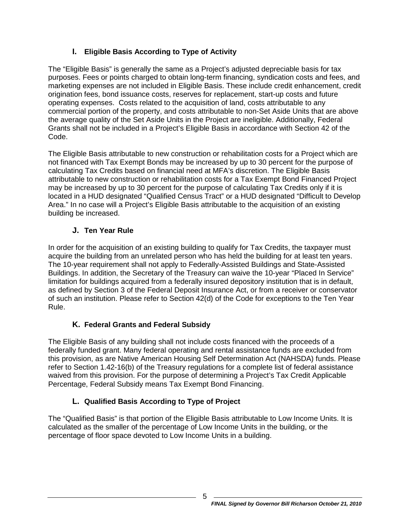# **I. Eligible Basis According to Type of Activity**

<span id="page-7-0"></span>The "Eligible Basis" is generally the same as a Project's adjusted depreciable basis for tax purposes. Fees or points charged to obtain long-term financing, syndication costs and fees, and marketing expenses are not included in Eligible Basis. These include credit enhancement, credit origination fees, bond issuance costs, reserves for replacement, start-up costs and future operating expenses. Costs related to the acquisition of land, costs attributable to any commercial portion of the property, and costs attributable to non-Set Aside Units that are above the average quality of the Set Aside Units in the Project are ineligible. Additionally, Federal Grants shall not be included in a Project's Eligible Basis in accordance with Section 42 of the Code.

The Eligible Basis attributable to new construction or rehabilitation costs for a Project which are not financed with Tax Exempt Bonds may be increased by up to 30 percent for the purpose of calculating Tax Credits based on financial need at MFA's discretion. The Eligible Basis attributable to new construction or rehabilitation costs for a Tax Exempt Bond Financed Project may be increased by up to 30 percent for the purpose of calculating Tax Credits only if it is located in a HUD designated "Qualified Census Tract" or a HUD designated "Difficult to Develop Area." In no case will a Project's Eligible Basis attributable to the acquisition of an existing building be increased.

# **J. Ten Year Rule**

<span id="page-7-1"></span>In order for the acquisition of an existing building to qualify for Tax Credits, the taxpayer must acquire the building from an unrelated person who has held the building for at least ten years. The 10-year requirement shall not apply to Federally-Assisted Buildings and State-Assisted Buildings. In addition, the Secretary of the Treasury can waive the 10-year "Placed In Service" limitation for buildings acquired from a federally insured depository institution that is in default, as defined by Section 3 of the Federal Deposit Insurance Act, or from a receiver or conservator of such an institution. Please refer to Section 42(d) of the Code for exceptions to the Ten Year Rule.

# **K. Federal Grants and Federal Subsidy**

<span id="page-7-2"></span>The Eligible Basis of any building shall not include costs financed with the proceeds of a federally funded grant. Many federal operating and rental assistance funds are excluded from this provision, as are Native American Housing Self Determination Act (NAHSDA) funds. Please refer to Section 1.42-16(b) of the Treasury regulations for a complete list of federal assistance waived from this provision. For the purpose of determining a Project's Tax Credit Applicable Percentage, Federal Subsidy means Tax Exempt Bond Financing.

# **L. Qualified Basis According to Type of Project**

<span id="page-7-3"></span>The "Qualified Basis" is that portion of the Eligible Basis attributable to Low Income Units. It is calculated as the smaller of the percentage of Low Income Units in the building, or the percentage of floor space devoted to Low Income Units in a building.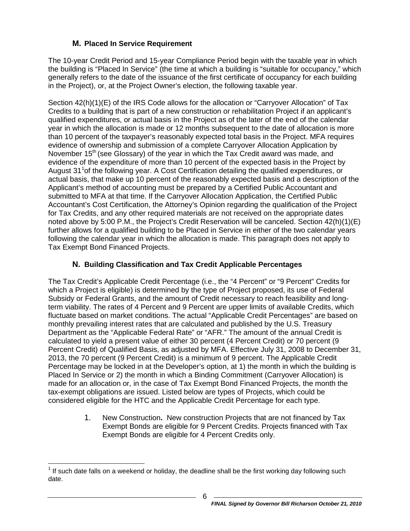# **M. Placed In Service Requirement**

<span id="page-8-0"></span>The 10-year Credit Period and 15-year Compliance Period begin with the taxable year in which the building is "Placed In Service" (the time at which a building is "suitable for occupancy," which generally refers to the date of the issuance of the first certificate of occupancy for each building in the Project), or, at the Project Owner's election, the following taxable year.

Section 42(h)(1)(E) of the IRS Code allows for the allocation or "Carryover Allocation" of Tax Credits to a building that is part of a new construction or rehabilitation Project if an applicant's qualified expenditures, or actual basis in the Project as of the later of the end of the calendar year in which the allocation is made or 12 months subsequent to the date of allocation is more than 10 percent of the taxpayer's reasonably expected total basis in the Project. MFA requires evidence of ownership and submission of a complete Carryover Allocation Application by November  $15<sup>th</sup>$  (see Glossary) of the year in which the Tax Credit award was made, and evidence of the expenditure of more than 10 percent of the expected basis in the Project by August 3[1](#page-0-0)<sup>1</sup> of the following year. A Cost Certification detailing the qualified expenditures, or actual basis, that make up 10 percent of the reasonably expected basis and a description of the Applicant's method of accounting must be prepared by a Certified Public Accountant and submitted to MFA at that time. If the Carryover Allocation Application, the Certified Public Accountant's Cost Certification, the Attorney's Opinion regarding the qualification of the Project for Tax Credits, and any other required materials are not received on the appropriate dates noted above by 5:00 P.M., the Project's Credit Reservation will be canceled. Section 42(h)(1)(E) further allows for a qualified building to be Placed in Service in either of the two calendar years following the calendar year in which the allocation is made. This paragraph does not apply to Tax Exempt Bond Financed Projects.

# **N. Building Classification and Tax Credit Applicable Percentages**

<span id="page-8-1"></span>The Tax Credit's Applicable Credit Percentage (i.e., the "4 Percent" or "9 Percent" Credits for which a Project is eligible) is determined by the type of Project proposed, its use of Federal Subsidy or Federal Grants, and the amount of Credit necessary to reach feasibility and longterm viability. The rates of 4 Percent and 9 Percent are upper limits of available Credits, which fluctuate based on market conditions. The actual "Applicable Credit Percentages" are based on monthly prevailing interest rates that are calculated and published by the U.S. Treasury Department as the "Applicable Federal Rate" or "AFR." The amount of the annual Credit is calculated to yield a present value of either 30 percent (4 Percent Credit) or 70 percent (9 Percent Credit) of Qualified Basis, as adjusted by MFA. Effective July 31, 2008 to December 31, 2013, the 70 percent (9 Percent Credit) is a minimum of 9 percent. The Applicable Credit Percentage may be locked in at the Developer's option, at 1) the month in which the building is Placed In Service or 2) the month in which a Binding Commitment (Carryover Allocation) is made for an allocation or, in the case of Tax Exempt Bond Financed Projects, the month the tax-exempt obligations are issued. Listed below are types of Projects, which could be considered eligible for the HTC and the Applicable Credit Percentage for each type.

> 1. New Construction**.** New construction Projects that are not financed by Tax Exempt Bonds are eligible for 9 Percent Credits. Projects financed with Tax Exempt Bonds are eligible for 4 Percent Credits only.

<span id="page-8-2"></span> $<sup>1</sup>$  If such date falls on a weekend or holiday, the deadline shall be the first working day following such</sup> date.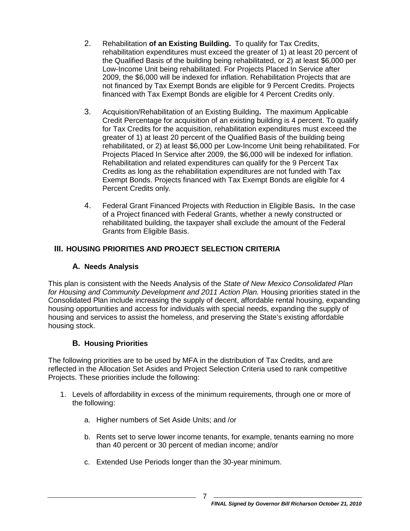- 2. Rehabilitation **of an Existing Building.** To qualify for Tax Credits, rehabilitation expenditures must exceed the greater of 1) at least 20 percent of the Qualified Basis of the building being rehabilitated, or 2) at least \$6,000 per Low-Income Unit being rehabilitated. For Projects Placed In Service after 2009, the \$6,000 will be indexed for inflation. Rehabilitation Projects that are not financed by Tax Exempt Bonds are eligible for 9 Percent Credits. Projects financed with Tax Exempt Bonds are eligible for 4 Percent Credits only.
- 3. Acquisition/Rehabilitation of an Existing Building**.** The maximum Applicable Credit Percentage for acquisition of an existing building is 4 percent. To qualify for Tax Credits for the acquisition, rehabilitation expenditures must exceed the greater of 1) at least 20 percent of the Qualified Basis of the building being rehabilitated, or 2) at least \$6,000 per Low-Income Unit being rehabilitated. For Projects Placed In Service after 2009, the \$6,000 will be indexed for inflation. Rehabilitation and related expenditures can qualify for the 9 Percent Tax Credits as long as the rehabilitation expenditures are not funded with Tax Exempt Bonds. Projects financed with Tax Exempt Bonds are eligible for 4 Percent Credits only.
- 4. Federal Grant Financed Projects with Reduction in Eligible Basis**.** In the case of a Project financed with Federal Grants, whether a newly constructed or rehabilitated building, the taxpayer shall exclude the amount of the Federal Grants from Eligible Basis.

# <span id="page-9-0"></span>**III. HOUSING PRIORITIES AND PROJECT SELECTION CRITERIA**

## **A. Needs Analysis**

<span id="page-9-1"></span>This plan is consistent with the Needs Analysis of the *State of New Mexico Consolidated Plan for Housing and Community Development and 2011 Action Plan.* Housing priorities stated in the Consolidated Plan include increasing the supply of decent, affordable rental housing, expanding housing opportunities and access for individuals with special needs, expanding the supply of housing and services to assist the homeless, and preserving the State's existing affordable housing stock.

## **B. Housing Priorities**

<span id="page-9-2"></span>The following priorities are to be used by MFA in the distribution of Tax Credits, and are reflected in the Allocation Set Asides and Project Selection Criteria used to rank competitive Projects. These priorities include the following:

- 1. Levels of affordability in excess of the minimum requirements, through one or more of the following:
	- a. Higher numbers of Set Aside Units; and /or
	- b. Rents set to serve lower income tenants, for example, tenants earning no more than 40 percent or 30 percent of median income; and/or
	- c. Extended Use Periods longer than the 30-year minimum.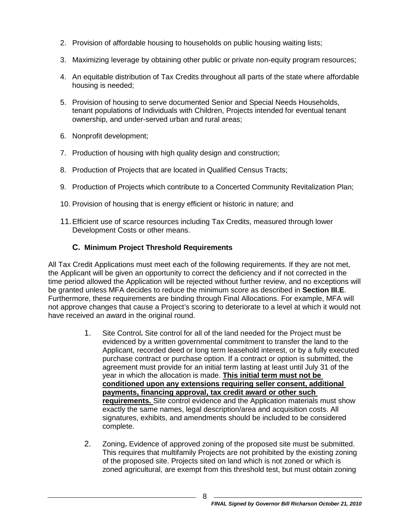- 2. Provision of affordable housing to households on public housing waiting lists;
- 3. Maximizing leverage by obtaining other public or private non-equity program resources;
- 4. An equitable distribution of Tax Credits throughout all parts of the state where affordable housing is needed;
- 5. Provision of housing to serve documented Senior and Special Needs Households, tenant populations of Individuals with Children, Projects intended for eventual tenant ownership, and under-served urban and rural areas;
- 6. Nonprofit development;
- 7. Production of housing with high quality design and construction;
- 8. Production of Projects that are located in Qualified Census Tracts;
- 9. Production of Projects which contribute to a Concerted Community Revitalization Plan;
- 10. Provision of housing that is energy efficient or historic in nature; and
- 11.Efficient use of scarce resources including Tax Credits, measured through lower Development Costs or other means.

## **C. Minimum Project Threshold Requirements**

<span id="page-10-0"></span>All Tax Credit Applications must meet each of the following requirements. If they are not met, the Applicant will be given an opportunity to correct the deficiency and if not corrected in the time period allowed the Application will be rejected without further review, and no exceptions will be granted unless MFA decides to reduce the minimum score as described in **Section III.E**. Furthermore, these requirements are binding through Final Allocations. For example, MFA will not approve changes that cause a Project's scoring to deteriorate to a level at which it would not have received an award in the original round.

- 1. Site Control**.** Site control for all of the land needed for the Project must be evidenced by a written governmental commitment to transfer the land to the Applicant, recorded deed or long term leasehold interest, or by a fully executed purchase contract or purchase option. If a contract or option is submitted, the agreement must provide for an initial term lasting at least until July 31 of the year in which the allocation is made. **This initial term must not be conditioned upon any extensions requiring seller consent, additional payments, financing approval, tax credit award or other such requirements.** Site control evidence and the Application materials must show exactly the same names, legal description/area and acquisition costs. All signatures, exhibits, and amendments should be included to be considered complete.
- 2. Zoning**.** Evidence of approved zoning of the proposed site must be submitted. This requires that multifamily Projects are not prohibited by the existing zoning of the proposed site. Projects sited on land which is not zoned or which is zoned agricultural, are exempt from this threshold test, but must obtain zoning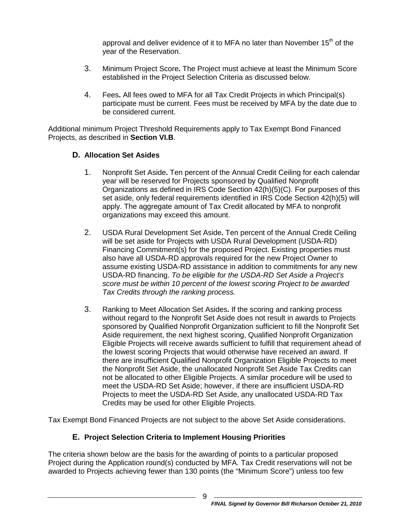approval and deliver evidence of it to MFA no later than November 15<sup>th</sup> of the year of the Reservation.

- 3. Minimum Project Score**.** The Project must achieve at least the Minimum Score established in the Project Selection Criteria as discussed below.
- 4. Fees**.** All fees owed to MFA for all Tax Credit Projects in which Principal(s) participate must be current. Fees must be received by MFA by the date due to be considered current.

Additional minimum Project Threshold Requirements apply to Tax Exempt Bond Financed Projects, as described in **Section VI.B**.

## <span id="page-11-0"></span>**D. Allocation Set Asides**

- 1. Nonprofit Set Aside**.** Ten percent of the Annual Credit Ceiling for each calendar year will be reserved for Projects sponsored by Qualified Nonprofit Organizations as defined in IRS Code Section 42(h)(5)(C). For purposes of this set aside, only federal requirements identified in IRS Code Section 42(h)(5) will apply. The aggregate amount of Tax Credit allocated by MFA to nonprofit organizations may exceed this amount.
- 2. USDA Rural Development Set Aside**.** Ten percent of the Annual Credit Ceiling will be set aside for Projects with USDA Rural Development (USDA-RD) Financing Commitment(s) for the proposed Project. Existing properties must also have all USDA-RD approvals required for the new Project Owner to assume existing USDA-RD assistance in addition to commitments for any new USDA-RD financing. *To be eligible for the USDA-RD Set Aside a Project's score must be within 10 percent of the lowest scoring Project to be awarded Tax Credits through the ranking process.*
- 3. Ranking to Meet Allocation Set Asides**.** If the scoring and ranking process without regard to the Nonprofit Set Aside does not result in awards to Projects sponsored by Qualified Nonprofit Organization sufficient to fill the Nonprofit Set Aside requirement, the next highest scoring, Qualified Nonprofit Organization Eligible Projects will receive awards sufficient to fulfill that requirement ahead of the lowest scoring Projects that would otherwise have received an award. If there are insufficient Qualified Nonprofit Organization Eligible Projects to meet the Nonprofit Set Aside, the unallocated Nonprofit Set Aside Tax Credits can not be allocated to other Eligible Projects. A similar procedure will be used to meet the USDA-RD Set Aside; however, if there are insufficient USDA-RD Projects to meet the USDA-RD Set Aside, any unallocated USDA-RD Tax Credits may be used for other Eligible Projects.

<span id="page-11-1"></span>Tax Exempt Bond Financed Projects are not subject to the above Set Aside considerations.

# **E. Project Selection Criteria to Implement Housing Priorities**

The criteria shown below are the basis for the awarding of points to a particular proposed Project during the Application round(s) conducted by MFA. Tax Credit reservations will not be awarded to Projects achieving fewer than 130 points (the "Minimum Score") unless too few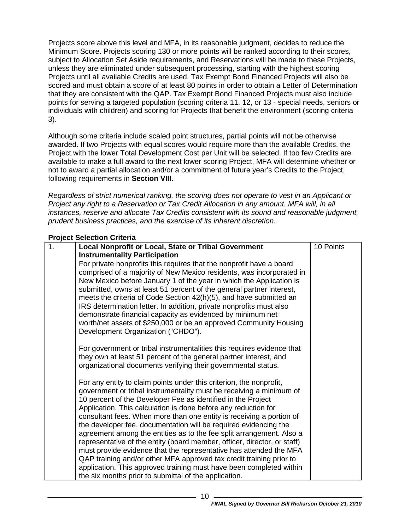Projects score above this level and MFA, in its reasonable judgment, decides to reduce the Minimum Score. Projects scoring 130 or more points will be ranked according to their scores, subject to Allocation Set Aside requirements, and Reservations will be made to these Projects, unless they are eliminated under subsequent processing, starting with the highest scoring Projects until all available Credits are used. Tax Exempt Bond Financed Projects will also be scored and must obtain a score of at least 80 points in order to obtain a Letter of Determination that they are consistent with the QAP. Tax Exempt Bond Financed Projects must also include points for serving a targeted population (scoring criteria 11, 12, or 13 - special needs, seniors or individuals with children) and scoring for Projects that benefit the environment (scoring criteria 3).

Although some criteria include scaled point structures, partial points will not be otherwise awarded. If two Projects with equal scores would require more than the available Credits, the Project with the lower Total Development Cost per Unit will be selected. If too few Credits are available to make a full award to the next lower scoring Project, MFA will determine whether or not to award a partial allocation and/or a commitment of future year's Credits to the Project, following requirements in **Section [VIII](#page-43-1)**.

*Regardless of strict numerical ranking, the scoring does not operate to vest in an Applicant or Project any right to a Reservation or Tax Credit Allocation in any amount. MFA will, in all instances, reserve and allocate Tax Credits consistent with its sound and reasonable judgment, prudent business practices, and the exercise of its inherent discretion.*

#### **Project Selection Criteria**

| 1. | Local Nonprofit or Local, State or Tribal Government                                                                              | 10 Points |
|----|-----------------------------------------------------------------------------------------------------------------------------------|-----------|
|    | <b>Instrumentality Participation</b>                                                                                              |           |
|    | For private nonprofits this requires that the nonprofit have a board                                                              |           |
|    | comprised of a majority of New Mexico residents, was incorporated in                                                              |           |
|    | New Mexico before January 1 of the year in which the Application is                                                               |           |
|    | submitted, owns at least 51 percent of the general partner interest,                                                              |           |
|    | meets the criteria of Code Section 42(h)(5), and have submitted an                                                                |           |
|    | IRS determination letter. In addition, private nonprofits must also<br>demonstrate financial capacity as evidenced by minimum net |           |
|    | worth/net assets of \$250,000 or be an approved Community Housing                                                                 |           |
|    | Development Organization ("CHDO").                                                                                                |           |
|    |                                                                                                                                   |           |
|    | For government or tribal instrumentalities this requires evidence that                                                            |           |
|    | they own at least 51 percent of the general partner interest, and                                                                 |           |
|    | organizational documents verifying their governmental status.                                                                     |           |
|    | For any entity to claim points under this criterion, the nonprofit,                                                               |           |
|    | government or tribal instrumentality must be receiving a minimum of                                                               |           |
|    | 10 percent of the Developer Fee as identified in the Project                                                                      |           |
|    | Application. This calculation is done before any reduction for                                                                    |           |
|    | consultant fees. When more than one entity is receiving a portion of                                                              |           |
|    | the developer fee, documentation will be required evidencing the                                                                  |           |
|    | agreement among the entities as to the fee split arrangement. Also a                                                              |           |
|    | representative of the entity (board member, officer, director, or staff)                                                          |           |
|    | must provide evidence that the representative has attended the MFA                                                                |           |
|    | QAP training and/or other MFA approved tax credit training prior to                                                               |           |
|    | application. This approved training must have been completed within                                                               |           |
|    | the six months prior to submittal of the application.                                                                             |           |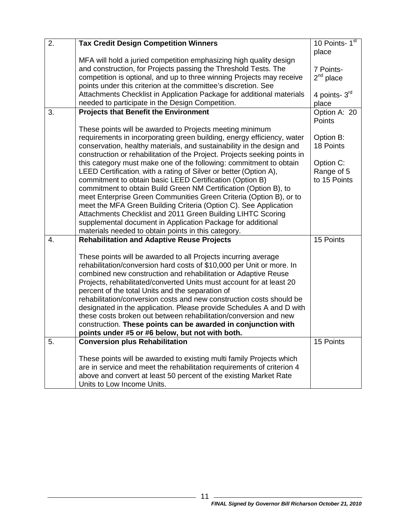| 2. | <b>Tax Credit Design Competition Winners</b>                                                                                           | 10 Points- $1st$       |
|----|----------------------------------------------------------------------------------------------------------------------------------------|------------------------|
|    |                                                                                                                                        | place                  |
|    | MFA will hold a juried competition emphasizing high quality design                                                                     |                        |
|    | and construction, for Projects passing the Threshold Tests. The                                                                        | 7 Points-              |
|    | competition is optional, and up to three winning Projects may receive                                                                  | $2nd$ place            |
|    | points under this criterion at the committee's discretion. See                                                                         |                        |
|    | Attachments Checklist in Application Package for additional materials                                                                  | 4 points- 3rd          |
|    | needed to participate in the Design Competition.                                                                                       | place                  |
| 3. | <b>Projects that Benefit the Environment</b>                                                                                           | Option A: 20<br>Points |
|    | These points will be awarded to Projects meeting minimum                                                                               |                        |
|    | requirements in incorporating green building, energy efficiency, water                                                                 | Option B:              |
|    | conservation, healthy materials, and sustainability in the design and                                                                  | 18 Points              |
|    | construction or rehabilitation of the Project. Projects seeking points in                                                              |                        |
|    | this category must make one of the following: commitment to obtain                                                                     | Option C:              |
|    | LEED Certification, with a rating of Silver or better (Option A),                                                                      | Range of 5             |
|    | commitment to obtain basic LEED Certification (Option B)                                                                               | to 15 Points           |
|    | commitment to obtain Build Green NM Certification (Option B), to<br>meet Enterprise Green Communities Green Criteria (Option B), or to |                        |
|    | meet the MFA Green Building Criteria (Option C). See Application                                                                       |                        |
|    | Attachments Checklist and 2011 Green Building LIHTC Scoring                                                                            |                        |
|    | supplemental document in Application Package for additional                                                                            |                        |
|    | materials needed to obtain points in this category.                                                                                    |                        |
| 4. | <b>Rehabilitation and Adaptive Reuse Projects</b>                                                                                      | 15 Points              |
|    |                                                                                                                                        |                        |
|    | These points will be awarded to all Projects incurring average                                                                         |                        |
|    | rehabilitation/conversion hard costs of \$10,000 per Unit or more. In                                                                  |                        |
|    | combined new construction and rehabilitation or Adaptive Reuse                                                                         |                        |
|    | Projects, rehabilitated/converted Units must account for at least 20                                                                   |                        |
|    | percent of the total Units and the separation of                                                                                       |                        |
|    | rehabilitation/conversion costs and new construction costs should be                                                                   |                        |
|    | designated in the application. Please provide Schedules A and D with                                                                   |                        |
|    | these costs broken out between rehabilitation/conversion and new                                                                       |                        |
|    | construction. These points can be awarded in conjunction with                                                                          |                        |
|    | points under #5 or #6 below, but not with both.                                                                                        |                        |
| 5. | <b>Conversion plus Rehabilitation</b>                                                                                                  | 15 Points              |
|    | These points will be awarded to existing multi family Projects which                                                                   |                        |
|    | are in service and meet the rehabilitation requirements of criterion 4                                                                 |                        |
|    | above and convert at least 50 percent of the existing Market Rate                                                                      |                        |
|    | Units to Low Income Units.                                                                                                             |                        |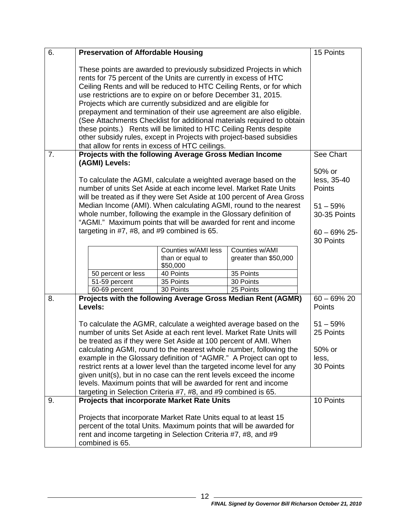| 6. | <b>Preservation of Affordable Housing</b>                                                                                                                                                                                                                                                                                                                                                                                                                                                                                                                                                                                                                                                           |                                                     |                                         | 15 Points                                                                                     |
|----|-----------------------------------------------------------------------------------------------------------------------------------------------------------------------------------------------------------------------------------------------------------------------------------------------------------------------------------------------------------------------------------------------------------------------------------------------------------------------------------------------------------------------------------------------------------------------------------------------------------------------------------------------------------------------------------------------------|-----------------------------------------------------|-----------------------------------------|-----------------------------------------------------------------------------------------------|
|    | These points are awarded to previously subsidized Projects in which<br>rents for 75 percent of the Units are currently in excess of HTC<br>Ceiling Rents and will be reduced to HTC Ceiling Rents, or for which<br>use restrictions are to expire on or before December 31, 2015.<br>Projects which are currently subsidized and are eligible for<br>prepayment and termination of their use agreement are also eligible.<br>(See Attachments Checklist for additional materials required to obtain<br>these points.) Rents will be limited to HTC Ceiling Rents despite<br>other subsidy rules, except in Projects with project-based subsidies<br>that allow for rents in excess of HTC ceilings. |                                                     |                                         |                                                                                               |
| 7. | Projects with the following Average Gross Median Income<br>(AGMI) Levels:                                                                                                                                                                                                                                                                                                                                                                                                                                                                                                                                                                                                                           |                                                     |                                         | See Chart                                                                                     |
|    | To calculate the AGMI, calculate a weighted average based on the<br>number of units Set Aside at each income level. Market Rate Units<br>will be treated as if they were Set Aside at 100 percent of Area Gross<br>Median Income (AMI). When calculating AGMI, round to the nearest<br>whole number, following the example in the Glossary definition of<br>"AGMI." Maximum points that will be awarded for rent and income<br>targeting in $#7, #8,$ and $#9$ combined is 65.                                                                                                                                                                                                                      |                                                     |                                         | 50% or<br>less, 35-40<br>Points<br>$51 - 59%$<br>30-35 Points<br>$60 - 69\%$ 25-<br>30 Points |
|    |                                                                                                                                                                                                                                                                                                                                                                                                                                                                                                                                                                                                                                                                                                     | Counties w/AMI less<br>than or equal to<br>\$50,000 | Counties w/AMI<br>greater than \$50,000 |                                                                                               |
|    | 50 percent or less<br>51-59 percent                                                                                                                                                                                                                                                                                                                                                                                                                                                                                                                                                                                                                                                                 | 40 Points<br>35 Points                              | 35 Points<br>30 Points                  |                                                                                               |
|    | 60-69 percent                                                                                                                                                                                                                                                                                                                                                                                                                                                                                                                                                                                                                                                                                       | 30 Points                                           | 25 Points                               |                                                                                               |
| 8. | Projects with the following Average Gross Median Rent (AGMR)<br>Levels:                                                                                                                                                                                                                                                                                                                                                                                                                                                                                                                                                                                                                             |                                                     |                                         | $60 - 69\% 20$<br>Points                                                                      |
|    | To calculate the AGMR, calculate a weighted average based on the<br>number of units Set Aside at each rent level. Market Rate Units will<br>be treated as if they were Set Aside at 100 percent of AMI. When<br>calculating AGMI, round to the nearest whole number, following the<br>example in the Glossary definition of "AGMR." A Project can opt to<br>restrict rents at a lower level than the targeted income level for any<br>given unit(s), but in no case can the rent levels exceed the income<br>levels. Maximum points that will be awarded for rent and income<br>targeting in Selection Criteria #7, #8, and #9 combined is 65.                                                      |                                                     |                                         | $51 - 59%$<br>25 Points<br>50% or<br>less,<br>30 Points                                       |
| 9. | <b>Projects that incorporate Market Rate Units</b>                                                                                                                                                                                                                                                                                                                                                                                                                                                                                                                                                                                                                                                  |                                                     |                                         | 10 Points                                                                                     |
|    | Projects that incorporate Market Rate Units equal to at least 15<br>percent of the total Units. Maximum points that will be awarded for<br>rent and income targeting in Selection Criteria #7, #8, and #9<br>combined is 65.                                                                                                                                                                                                                                                                                                                                                                                                                                                                        |                                                     |                                         |                                                                                               |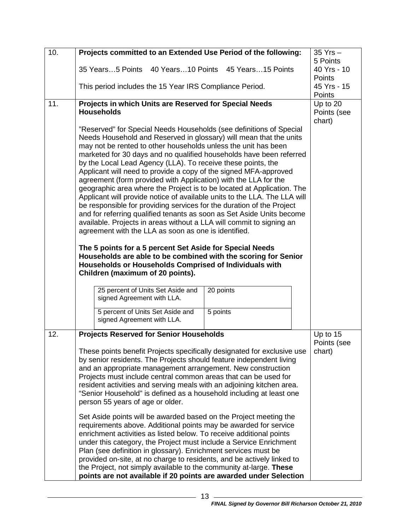| 10. | Projects committed to an Extended Use Period of the following:                                                                                                                                                                                                                                                                                                                                                                                                                                                                                                                                                                                                                                                                                                                                                                                                                                                                                                                                                                                                                                                                                                                                                   | $35$ Yrs $-$<br>5 Points |  |  |  |
|-----|------------------------------------------------------------------------------------------------------------------------------------------------------------------------------------------------------------------------------------------------------------------------------------------------------------------------------------------------------------------------------------------------------------------------------------------------------------------------------------------------------------------------------------------------------------------------------------------------------------------------------------------------------------------------------------------------------------------------------------------------------------------------------------------------------------------------------------------------------------------------------------------------------------------------------------------------------------------------------------------------------------------------------------------------------------------------------------------------------------------------------------------------------------------------------------------------------------------|--------------------------|--|--|--|
|     | 35 Years5 Points 40 Years10 Points 45 Years15 Points                                                                                                                                                                                                                                                                                                                                                                                                                                                                                                                                                                                                                                                                                                                                                                                                                                                                                                                                                                                                                                                                                                                                                             | 40 Yrs - 10<br>Points    |  |  |  |
|     | This period includes the 15 Year IRS Compliance Period.                                                                                                                                                                                                                                                                                                                                                                                                                                                                                                                                                                                                                                                                                                                                                                                                                                                                                                                                                                                                                                                                                                                                                          | 45 Yrs - 15<br>Points    |  |  |  |
| 11. | Projects in which Units are Reserved for Special Needs<br><b>Households</b>                                                                                                                                                                                                                                                                                                                                                                                                                                                                                                                                                                                                                                                                                                                                                                                                                                                                                                                                                                                                                                                                                                                                      |                          |  |  |  |
|     | "Reserved" for Special Needs Households (see definitions of Special<br>Needs Household and Reserved in glossary) will mean that the units<br>may not be rented to other households unless the unit has been<br>marketed for 30 days and no qualified households have been referred<br>by the Local Lead Agency (LLA). To receive these points, the<br>Applicant will need to provide a copy of the signed MFA-approved<br>agreement (form provided with Application) with the LLA for the<br>geographic area where the Project is to be located at Application. The<br>Applicant will provide notice of available units to the LLA. The LLA will<br>be responsible for providing services for the duration of the Project<br>and for referring qualified tenants as soon as Set Aside Units become<br>available. Projects in areas without a LLA will commit to signing an<br>agreement with the LLA as soon as one is identified.<br>The 5 points for a 5 percent Set Aside for Special Needs<br>Households are able to be combined with the scoring for Senior<br>Households or Households Comprised of Individuals with<br>Children (maximum of 20 points).<br>25 percent of Units Set Aside and<br>20 points |                          |  |  |  |
|     | signed Agreement with LLA.<br>5 percent of Units Set Aside and<br>5 points                                                                                                                                                                                                                                                                                                                                                                                                                                                                                                                                                                                                                                                                                                                                                                                                                                                                                                                                                                                                                                                                                                                                       |                          |  |  |  |
|     | signed Agreement with LLA.                                                                                                                                                                                                                                                                                                                                                                                                                                                                                                                                                                                                                                                                                                                                                                                                                                                                                                                                                                                                                                                                                                                                                                                       |                          |  |  |  |
| 12. | <b>Projects Reserved for Senior Households</b><br>Up to 15<br>Points (see<br>These points benefit Projects specifically designated for exclusive use<br>chart)<br>by senior residents. The Projects should feature independent living<br>and an appropriate management arrangement. New construction<br>Projects must include central common areas that can be used for<br>resident activities and serving meals with an adjoining kitchen area.<br>"Senior Household" is defined as a household including at least one<br>person 55 years of age or older.                                                                                                                                                                                                                                                                                                                                                                                                                                                                                                                                                                                                                                                      |                          |  |  |  |
|     |                                                                                                                                                                                                                                                                                                                                                                                                                                                                                                                                                                                                                                                                                                                                                                                                                                                                                                                                                                                                                                                                                                                                                                                                                  |                          |  |  |  |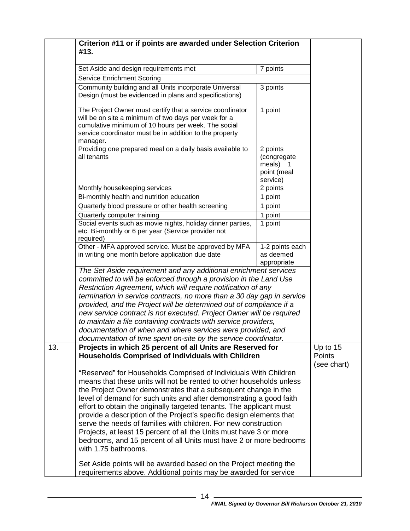| #13.                                             | Criterion #11 or if points are awarded under Selection Criterion                                                                                                                                                                                                                                                                                                                                                                                                                                                                                                                                                                                                                                                                                                                                                                                      |                                                                |                       |
|--------------------------------------------------|-------------------------------------------------------------------------------------------------------------------------------------------------------------------------------------------------------------------------------------------------------------------------------------------------------------------------------------------------------------------------------------------------------------------------------------------------------------------------------------------------------------------------------------------------------------------------------------------------------------------------------------------------------------------------------------------------------------------------------------------------------------------------------------------------------------------------------------------------------|----------------------------------------------------------------|-----------------------|
| Set Aside and design requirements met            |                                                                                                                                                                                                                                                                                                                                                                                                                                                                                                                                                                                                                                                                                                                                                                                                                                                       | 7 points                                                       |                       |
| <b>Service Enrichment Scoring</b>                |                                                                                                                                                                                                                                                                                                                                                                                                                                                                                                                                                                                                                                                                                                                                                                                                                                                       |                                                                |                       |
|                                                  | Community building and all Units incorporate Universal                                                                                                                                                                                                                                                                                                                                                                                                                                                                                                                                                                                                                                                                                                                                                                                                | 3 points                                                       |                       |
|                                                  | Design (must be evidenced in plans and specifications)                                                                                                                                                                                                                                                                                                                                                                                                                                                                                                                                                                                                                                                                                                                                                                                                |                                                                |                       |
| manager.                                         | The Project Owner must certify that a service coordinator<br>will be on site a minimum of two days per week for a<br>cumulative minimum of 10 hours per week. The social<br>service coordinator must be in addition to the property                                                                                                                                                                                                                                                                                                                                                                                                                                                                                                                                                                                                                   | 1 point                                                        |                       |
| all tenants                                      | Providing one prepared meal on a daily basis available to                                                                                                                                                                                                                                                                                                                                                                                                                                                                                                                                                                                                                                                                                                                                                                                             | 2 points<br>(congregate<br>meals) 1<br>point (meal<br>service) |                       |
| Monthly housekeeping services                    |                                                                                                                                                                                                                                                                                                                                                                                                                                                                                                                                                                                                                                                                                                                                                                                                                                                       | 2 points                                                       |                       |
| Bi-monthly health and nutrition education        |                                                                                                                                                                                                                                                                                                                                                                                                                                                                                                                                                                                                                                                                                                                                                                                                                                                       | 1 point                                                        |                       |
|                                                  | Quarterly blood pressure or other health screening                                                                                                                                                                                                                                                                                                                                                                                                                                                                                                                                                                                                                                                                                                                                                                                                    | 1 point                                                        |                       |
| Quarterly computer training                      |                                                                                                                                                                                                                                                                                                                                                                                                                                                                                                                                                                                                                                                                                                                                                                                                                                                       | 1 point                                                        |                       |
| required)                                        | Social events such as movie nights, holiday dinner parties,<br>etc. Bi-monthly or 6 per year (Service provider not                                                                                                                                                                                                                                                                                                                                                                                                                                                                                                                                                                                                                                                                                                                                    | 1 point                                                        |                       |
| in writing one month before application due date | Other - MFA approved service. Must be approved by MFA                                                                                                                                                                                                                                                                                                                                                                                                                                                                                                                                                                                                                                                                                                                                                                                                 | 1-2 points each<br>as deemed<br>appropriate                    |                       |
|                                                  | The Set Aside requirement and any additional enrichment services<br>committed to will be enforced through a provision in the Land Use<br>Restriction Agreement, which will require notification of any<br>termination in service contracts, no more than a 30 day gap in service<br>provided, and the Project will be determined out of compliance if a<br>new service contract is not executed. Project Owner will be required<br>to maintain a file containing contracts with service providers,<br>documentation of when and where services were provided, and<br>documentation of time spent on-site by the service coordinator.                                                                                                                                                                                                                  |                                                                |                       |
| 13.                                              | Projects in which 25 percent of all Units are Reserved for                                                                                                                                                                                                                                                                                                                                                                                                                                                                                                                                                                                                                                                                                                                                                                                            |                                                                | Up to 15              |
| with 1.75 bathrooms.                             | <b>Households Comprised of Individuals with Children</b><br>"Reserved" for Households Comprised of Individuals With Children<br>means that these units will not be rented to other households unless<br>the Project Owner demonstrates that a subsequent change in the<br>level of demand for such units and after demonstrating a good faith<br>effort to obtain the originally targeted tenants. The applicant must<br>provide a description of the Project's specific design elements that<br>serve the needs of families with children. For new construction<br>Projects, at least 15 percent of all the Units must have 3 or more<br>bedrooms, and 15 percent of all Units must have 2 or more bedrooms<br>Set Aside points will be awarded based on the Project meeting the<br>requirements above. Additional points may be awarded for service |                                                                | Points<br>(see chart) |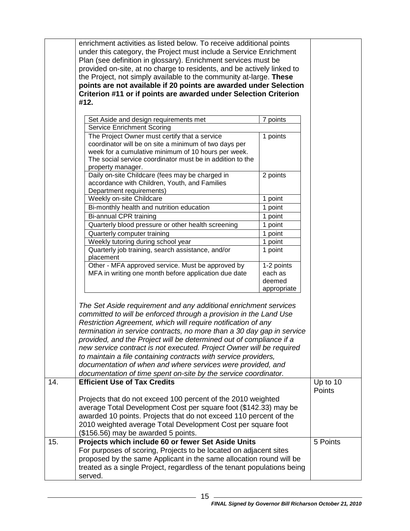|     | enrichment activities as listed below. To receive additional points<br>under this category, the Project must include a Service Enrichment<br>Plan (see definition in glossary). Enrichment services must be<br>provided on-site, at no charge to residents, and be actively linked to<br>the Project, not simply available to the community at-large. These<br>points are not available if 20 points are awarded under Selection<br>Criterion #11 or if points are awarded under Selection Criterion<br>#12. |             |               |  |
|-----|--------------------------------------------------------------------------------------------------------------------------------------------------------------------------------------------------------------------------------------------------------------------------------------------------------------------------------------------------------------------------------------------------------------------------------------------------------------------------------------------------------------|-------------|---------------|--|
|     |                                                                                                                                                                                                                                                                                                                                                                                                                                                                                                              |             |               |  |
|     | Set Aside and design requirements met                                                                                                                                                                                                                                                                                                                                                                                                                                                                        | 7 points    |               |  |
|     | <b>Service Enrichment Scoring</b>                                                                                                                                                                                                                                                                                                                                                                                                                                                                            |             |               |  |
|     |                                                                                                                                                                                                                                                                                                                                                                                                                                                                                                              |             |               |  |
|     | The Project Owner must certify that a service                                                                                                                                                                                                                                                                                                                                                                                                                                                                | 1 points    |               |  |
|     | coordinator will be on site a minimum of two days per                                                                                                                                                                                                                                                                                                                                                                                                                                                        |             |               |  |
|     | week for a cumulative minimum of 10 hours per week.                                                                                                                                                                                                                                                                                                                                                                                                                                                          |             |               |  |
|     | The social service coordinator must be in addition to the                                                                                                                                                                                                                                                                                                                                                                                                                                                    |             |               |  |
|     | property manager.                                                                                                                                                                                                                                                                                                                                                                                                                                                                                            |             |               |  |
|     | Daily on-site Childcare (fees may be charged in                                                                                                                                                                                                                                                                                                                                                                                                                                                              | 2 points    |               |  |
|     | accordance with Children, Youth, and Families                                                                                                                                                                                                                                                                                                                                                                                                                                                                |             |               |  |
|     | Department requirements)                                                                                                                                                                                                                                                                                                                                                                                                                                                                                     |             |               |  |
|     | Weekly on-site Childcare                                                                                                                                                                                                                                                                                                                                                                                                                                                                                     | 1 point     |               |  |
|     | Bi-monthly health and nutrition education                                                                                                                                                                                                                                                                                                                                                                                                                                                                    | 1 point     |               |  |
|     | Bi-annual CPR training                                                                                                                                                                                                                                                                                                                                                                                                                                                                                       | 1 point     |               |  |
|     | Quarterly blood pressure or other health screening                                                                                                                                                                                                                                                                                                                                                                                                                                                           | 1 point     |               |  |
|     | Quarterly computer training                                                                                                                                                                                                                                                                                                                                                                                                                                                                                  | 1 point     |               |  |
|     | Weekly tutoring during school year<br>1 point                                                                                                                                                                                                                                                                                                                                                                                                                                                                |             |               |  |
|     | Quarterly job training, search assistance, and/or                                                                                                                                                                                                                                                                                                                                                                                                                                                            | 1 point     |               |  |
|     | placement                                                                                                                                                                                                                                                                                                                                                                                                                                                                                                    |             |               |  |
|     | Other - MFA approved service. Must be approved by                                                                                                                                                                                                                                                                                                                                                                                                                                                            | 1-2 points  |               |  |
|     | MFA in writing one month before application due date                                                                                                                                                                                                                                                                                                                                                                                                                                                         | each as     |               |  |
|     |                                                                                                                                                                                                                                                                                                                                                                                                                                                                                                              | deemed      |               |  |
|     |                                                                                                                                                                                                                                                                                                                                                                                                                                                                                                              | appropriate |               |  |
|     |                                                                                                                                                                                                                                                                                                                                                                                                                                                                                                              |             |               |  |
|     | The Set Aside requirement and any additional enrichment services                                                                                                                                                                                                                                                                                                                                                                                                                                             |             |               |  |
|     | committed to will be enforced through a provision in the Land Use<br>Restriction Agreement, which will require notification of any                                                                                                                                                                                                                                                                                                                                                                           |             |               |  |
|     |                                                                                                                                                                                                                                                                                                                                                                                                                                                                                                              |             |               |  |
|     | termination in service contracts, no more than a 30 day gap in service                                                                                                                                                                                                                                                                                                                                                                                                                                       |             |               |  |
|     | provided, and the Project will be determined out of compliance if a                                                                                                                                                                                                                                                                                                                                                                                                                                          |             |               |  |
|     | new service contract is not executed. Project Owner will be required                                                                                                                                                                                                                                                                                                                                                                                                                                         |             |               |  |
|     | to maintain a file containing contracts with service providers,                                                                                                                                                                                                                                                                                                                                                                                                                                              |             |               |  |
|     | documentation of when and where services were provided, and                                                                                                                                                                                                                                                                                                                                                                                                                                                  |             |               |  |
|     | documentation of time spent on-site by the service coordinator.                                                                                                                                                                                                                                                                                                                                                                                                                                              |             |               |  |
| 14. | <b>Efficient Use of Tax Credits</b>                                                                                                                                                                                                                                                                                                                                                                                                                                                                          |             | Up to 10      |  |
|     |                                                                                                                                                                                                                                                                                                                                                                                                                                                                                                              |             | <b>Points</b> |  |
|     |                                                                                                                                                                                                                                                                                                                                                                                                                                                                                                              |             |               |  |
|     | Projects that do not exceed 100 percent of the 2010 weighted                                                                                                                                                                                                                                                                                                                                                                                                                                                 |             |               |  |
|     | average Total Development Cost per square foot (\$142.33) may be                                                                                                                                                                                                                                                                                                                                                                                                                                             |             |               |  |
|     | awarded 10 points. Projects that do not exceed 110 percent of the                                                                                                                                                                                                                                                                                                                                                                                                                                            |             |               |  |
|     | 2010 weighted average Total Development Cost per square foot                                                                                                                                                                                                                                                                                                                                                                                                                                                 |             |               |  |
|     | (\$156.56) may be awarded 5 points.                                                                                                                                                                                                                                                                                                                                                                                                                                                                          |             |               |  |
| 15. | Projects which include 60 or fewer Set Aside Units                                                                                                                                                                                                                                                                                                                                                                                                                                                           |             | 5 Points      |  |
|     | For purposes of scoring, Projects to be located on adjacent sites                                                                                                                                                                                                                                                                                                                                                                                                                                            |             |               |  |
|     | proposed by the same Applicant in the same allocation round will be                                                                                                                                                                                                                                                                                                                                                                                                                                          |             |               |  |
|     | treated as a single Project, regardless of the tenant populations being                                                                                                                                                                                                                                                                                                                                                                                                                                      |             |               |  |
|     | served.                                                                                                                                                                                                                                                                                                                                                                                                                                                                                                      |             |               |  |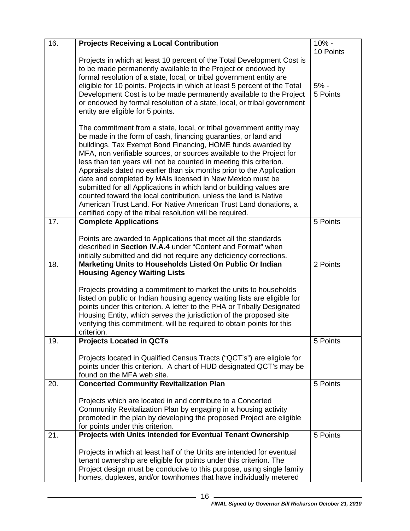| 16. | <b>Projects Receiving a Local Contribution</b>                                                                                                                                                                                                                                                                                                                                                                                                                                                                                                                                                                                                                                                                                                                      | 10% -                           |
|-----|---------------------------------------------------------------------------------------------------------------------------------------------------------------------------------------------------------------------------------------------------------------------------------------------------------------------------------------------------------------------------------------------------------------------------------------------------------------------------------------------------------------------------------------------------------------------------------------------------------------------------------------------------------------------------------------------------------------------------------------------------------------------|---------------------------------|
|     | Projects in which at least 10 percent of the Total Development Cost is<br>to be made permanently available to the Project or endowed by<br>formal resolution of a state, local, or tribal government entity are<br>eligible for 10 points. Projects in which at least 5 percent of the Total<br>Development Cost is to be made permanently available to the Project<br>or endowed by formal resolution of a state, local, or tribal government<br>entity are eligible for 5 points.                                                                                                                                                                                                                                                                                 | 10 Points<br>$5% -$<br>5 Points |
|     | The commitment from a state, local, or tribal government entity may<br>be made in the form of cash, financing guaranties, or land and<br>buildings. Tax Exempt Bond Financing, HOME funds awarded by<br>MFA, non verifiable sources, or sources available to the Project for<br>less than ten years will not be counted in meeting this criterion.<br>Appraisals dated no earlier than six months prior to the Application<br>date and completed by MAIs licensed in New Mexico must be<br>submitted for all Applications in which land or building values are<br>counted toward the local contribution, unless the land is Native<br>American Trust Land. For Native American Trust Land donations, a<br>certified copy of the tribal resolution will be required. |                                 |
| 17. | <b>Complete Applications</b>                                                                                                                                                                                                                                                                                                                                                                                                                                                                                                                                                                                                                                                                                                                                        | 5 Points                        |
|     | Points are awarded to Applications that meet all the standards<br>described in Section IV.A.4 under "Content and Format" when<br>initially submitted and did not require any deficiency corrections.                                                                                                                                                                                                                                                                                                                                                                                                                                                                                                                                                                |                                 |
| 18. | Marketing Units to Households Listed On Public Or Indian<br><b>Housing Agency Waiting Lists</b>                                                                                                                                                                                                                                                                                                                                                                                                                                                                                                                                                                                                                                                                     | 2 Points                        |
|     | Projects providing a commitment to market the units to households<br>listed on public or Indian housing agency waiting lists are eligible for<br>points under this criterion. A letter to the PHA or Tribally Designated<br>Housing Entity, which serves the jurisdiction of the proposed site<br>verifying this commitment, will be required to obtain points for this<br>criterion.                                                                                                                                                                                                                                                                                                                                                                               |                                 |
| 19. | <b>Projects Located in QCTs</b>                                                                                                                                                                                                                                                                                                                                                                                                                                                                                                                                                                                                                                                                                                                                     | 5 Points                        |
|     | Projects located in Qualified Census Tracts ("QCT's") are eligible for<br>points under this criterion. A chart of HUD designated QCT's may be<br>found on the MFA web site.                                                                                                                                                                                                                                                                                                                                                                                                                                                                                                                                                                                         |                                 |
| 20. | <b>Concerted Community Revitalization Plan</b>                                                                                                                                                                                                                                                                                                                                                                                                                                                                                                                                                                                                                                                                                                                      | 5 Points                        |
|     | Projects which are located in and contribute to a Concerted<br>Community Revitalization Plan by engaging in a housing activity<br>promoted in the plan by developing the proposed Project are eligible<br>for points under this criterion.                                                                                                                                                                                                                                                                                                                                                                                                                                                                                                                          |                                 |
| 21. | Projects with Units Intended for Eventual Tenant Ownership                                                                                                                                                                                                                                                                                                                                                                                                                                                                                                                                                                                                                                                                                                          | 5 Points                        |
|     | Projects in which at least half of the Units are intended for eventual<br>tenant ownership are eligible for points under this criterion. The<br>Project design must be conducive to this purpose, using single family<br>homes, duplexes, and/or townhomes that have individually metered                                                                                                                                                                                                                                                                                                                                                                                                                                                                           |                                 |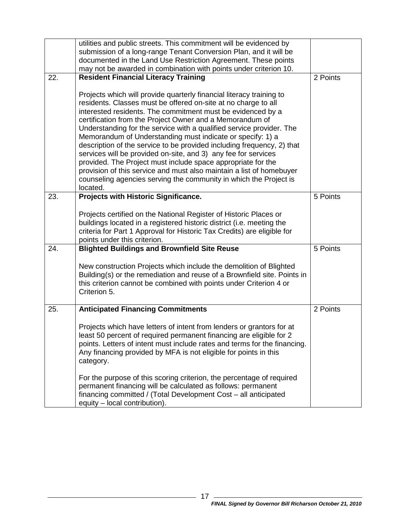|     | utilities and public streets. This commitment will be evidenced by<br>submission of a long-range Tenant Conversion Plan, and it will be<br>documented in the Land Use Restriction Agreement. These points                                                                                                                                                                                                                                                                                                                                                                                                                                                                                                                                                                    |          |
|-----|------------------------------------------------------------------------------------------------------------------------------------------------------------------------------------------------------------------------------------------------------------------------------------------------------------------------------------------------------------------------------------------------------------------------------------------------------------------------------------------------------------------------------------------------------------------------------------------------------------------------------------------------------------------------------------------------------------------------------------------------------------------------------|----------|
|     | may not be awarded in combination with points under criterion 10.                                                                                                                                                                                                                                                                                                                                                                                                                                                                                                                                                                                                                                                                                                            |          |
| 22. | <b>Resident Financial Literacy Training</b>                                                                                                                                                                                                                                                                                                                                                                                                                                                                                                                                                                                                                                                                                                                                  | 2 Points |
|     | Projects which will provide quarterly financial literacy training to<br>residents. Classes must be offered on-site at no charge to all<br>interested residents. The commitment must be evidenced by a<br>certification from the Project Owner and a Memorandum of<br>Understanding for the service with a qualified service provider. The<br>Memorandum of Understanding must indicate or specify: 1) a<br>description of the service to be provided including frequency, 2) that<br>services will be provided on-site, and 3) any fee for services<br>provided. The Project must include space appropriate for the<br>provision of this service and must also maintain a list of homebuyer<br>counseling agencies serving the community in which the Project is<br>located. |          |
| 23. | Projects with Historic Significance.                                                                                                                                                                                                                                                                                                                                                                                                                                                                                                                                                                                                                                                                                                                                         | 5 Points |
|     | Projects certified on the National Register of Historic Places or<br>buildings located in a registered historic district (i.e. meeting the<br>criteria for Part 1 Approval for Historic Tax Credits) are eligible for<br>points under this criterion.                                                                                                                                                                                                                                                                                                                                                                                                                                                                                                                        |          |
| 24. | <b>Blighted Buildings and Brownfield Site Reuse</b>                                                                                                                                                                                                                                                                                                                                                                                                                                                                                                                                                                                                                                                                                                                          | 5 Points |
|     | New construction Projects which include the demolition of Blighted<br>Building(s) or the remediation and reuse of a Brownfield site. Points in<br>this criterion cannot be combined with points under Criterion 4 or<br>Criterion 5.                                                                                                                                                                                                                                                                                                                                                                                                                                                                                                                                         |          |
| 25. | <b>Anticipated Financing Commitments</b>                                                                                                                                                                                                                                                                                                                                                                                                                                                                                                                                                                                                                                                                                                                                     | 2 Points |
|     | Projects which have letters of intent from lenders or grantors for at<br>least 50 percent of required permanent financing are eligible for 2<br>points. Letters of intent must include rates and terms for the financing.<br>Any financing provided by MFA is not eligible for points in this<br>category.                                                                                                                                                                                                                                                                                                                                                                                                                                                                   |          |
|     | For the purpose of this scoring criterion, the percentage of required<br>permanent financing will be calculated as follows: permanent<br>financing committed / (Total Development Cost - all anticipated<br>equity - local contribution).                                                                                                                                                                                                                                                                                                                                                                                                                                                                                                                                    |          |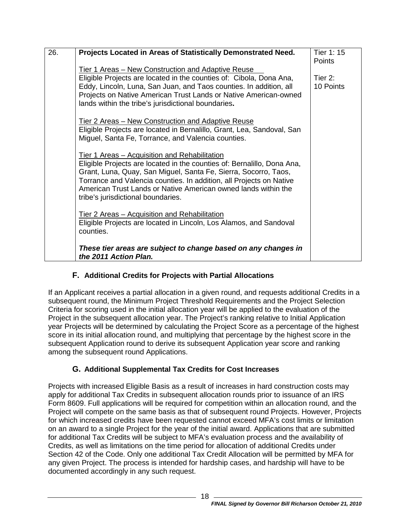| 26. | Projects Located in Areas of Statistically Demonstrated Need.           | Tier 1: 15    |
|-----|-------------------------------------------------------------------------|---------------|
|     |                                                                         | <b>Points</b> |
|     | Tier 1 Areas - New Construction and Adaptive Reuse                      |               |
|     | Eligible Projects are located in the counties of: Cibola, Dona Ana,     | Tier 2:       |
|     | Eddy, Lincoln, Luna, San Juan, and Taos counties. In addition, all      | 10 Points     |
|     | Projects on Native American Trust Lands or Native American-owned        |               |
|     | lands within the tribe's jurisdictional boundaries.                     |               |
|     |                                                                         |               |
|     | Tier 2 Areas – New Construction and Adaptive Reuse                      |               |
|     | Eligible Projects are located in Bernalillo, Grant, Lea, Sandoval, San  |               |
|     | Miguel, Santa Fe, Torrance, and Valencia counties.                      |               |
|     |                                                                         |               |
|     | Tier 1 Areas – Acquisition and Rehabilitation                           |               |
|     | Eligible Projects are located in the counties of: Bernalillo, Dona Ana, |               |
|     | Grant, Luna, Quay, San Miguel, Santa Fe, Sierra, Socorro, Taos,         |               |
|     | Torrance and Valencia counties. In addition, all Projects on Native     |               |
|     | American Trust Lands or Native American owned lands within the          |               |
|     | tribe's jurisdictional boundaries.                                      |               |
|     | Tier 2 Areas – Acquisition and Rehabilitation                           |               |
|     | Eligible Projects are located in Lincoln, Los Alamos, and Sandoval      |               |
|     | counties.                                                               |               |
|     |                                                                         |               |
|     | These tier areas are subject to change based on any changes in          |               |
|     | the 2011 Action Plan.                                                   |               |

# **F. Additional Credits for Projects with Partial Allocations**

<span id="page-20-0"></span>If an Applicant receives a partial allocation in a given round, and requests additional Credits in a subsequent round, the Minimum Project Threshold Requirements and the Project Selection Criteria for scoring used in the initial allocation year will be applied to the evaluation of the Project in the subsequent allocation year. The Project's ranking relative to Initial Application year Projects will be determined by calculating the Project Score as a percentage of the highest score in its initial allocation round, and multiplying that percentage by the highest score in the subsequent Application round to derive its subsequent Application year score and ranking among the subsequent round Applications.

# **G. Additional Supplemental Tax Credits for Cost Increases**

<span id="page-20-1"></span>Projects with increased Eligible Basis as a result of increases in hard construction costs may apply for additional Tax Credits in subsequent allocation rounds prior to issuance of an IRS Form 8609. Full applications will be required for competition within an allocation round, and the Project will compete on the same basis as that of subsequent round Projects. However, Projects for which increased credits have been requested cannot exceed MFA's cost limits or limitation on an award to a single Project for the year of the initial award. Applications that are submitted for additional Tax Credits will be subject to MFA's evaluation process and the availability of Credits, as well as limitations on the time period for allocation of additional Credits under Section 42 of the Code. Only one additional Tax Credit Allocation will be permitted by MFA for any given Project. The process is intended for hardship cases, and hardship will have to be documented accordingly in any such request.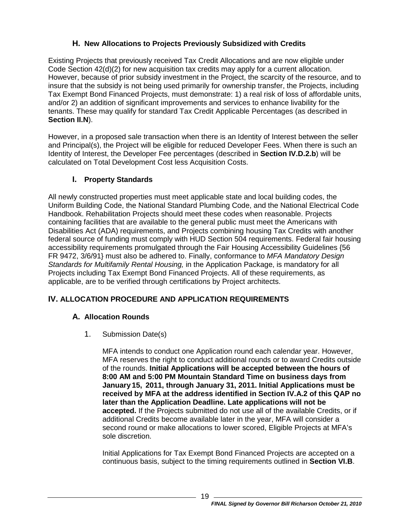# **H. New Allocations to Projects Previously Subsidized with Credits**

<span id="page-21-0"></span>Existing Projects that previously received Tax Credit Allocations and are now eligible under Code Section 42(d)(2) for new acquisition tax credits may apply for a current allocation. However, because of prior subsidy investment in the Project, the scarcity of the resource, and to insure that the subsidy is not being used primarily for ownership transfer, the Projects, including Tax Exempt Bond Financed Projects, must demonstrate: 1) a real risk of loss of affordable units, and/or 2) an addition of significant improvements and services to enhance livability for the tenants. These may qualify for standard Tax Credit Applicable Percentages (as described in **Section [II.N](#page-8-1)**).

However, in a proposed sale transaction when there is an Identity of Interest between the seller and Principal(s), the Project will be eligible for reduced Developer Fees. When there is such an Identity of Interest, the Developer Fee percentages (described in **Section [IV.D.2.b](#page-29-0)**) will be calculated on Total Development Cost less Acquisition Costs.

# **I. Property Standards**

<span id="page-21-1"></span>All newly constructed properties must meet applicable state and local building codes, the Uniform Building Code, the National Standard Plumbing Code, and the National Electrical Code Handbook. Rehabilitation Projects should meet these codes when reasonable. Projects containing facilities that are available to the general public must meet the Americans with Disabilities Act (ADA) requirements, and Projects combining housing Tax Credits with another federal source of funding must comply with HUD Section 504 requirements. Federal fair housing accessibility requirements promulgated through the Fair Housing Accessibility Guidelines {56 FR 9472, 3/6/91} must also be adhered to. Finally, conformance to *MFA Mandatory Design Standards for Multifamily Rental Housing,* in the Application Package, is mandatory for all Projects including Tax Exempt Bond Financed Projects. All of these requirements, as applicable, are to be verified through certifications by Project architects.

# <span id="page-21-3"></span><span id="page-21-2"></span>**IV. ALLOCATION PROCEDURE AND APPLICATION REQUIREMENTS**

# **A. Allocation Rounds**

1. Submission Date(s)

MFA intends to conduct one Application round each calendar year. However, MFA reserves the right to conduct additional rounds or to award Credits outside of the rounds. **Initial Applications will be accepted between the hours of 8:00 AM and 5:00 PM Mountain Standard Time on business days from January 15, 2011, through January 31, 2011. Initial Applications must be received by MFA at the address identified in Section IV.A.2 of this QAP no later than the Application Deadline. Late applications will not be accepted.** If the Projects submitted do not use all of the available Credits, or if additional Credits become available later in the year, MFA will consider a second round or make allocations to lower scored, Eligible Projects at MFA's sole discretion.

Initial Applications for Tax Exempt Bond Financed Projects are accepted on a continuous basis, subject to the timing requirements outlined in **Section [VI.B](#page-43-0)**.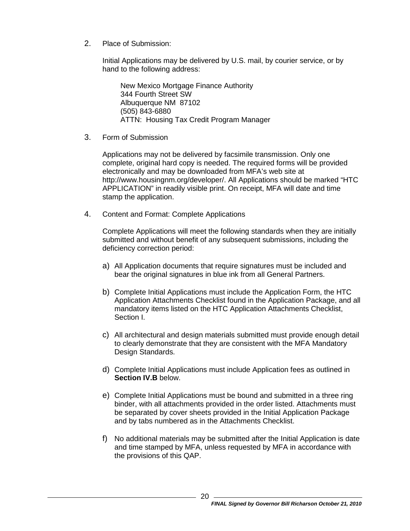2. Place of Submission:

Initial Applications may be delivered by U.S. mail, by courier service, or by hand to the following address:

New Mexico Mortgage Finance Authority 344 Fourth Street SW Albuquerque NM 87102 (505) 843-6880 ATTN: Housing Tax Credit Program Manager

<span id="page-22-0"></span>3. Form of Submission

Applications may not be delivered by facsimile transmission. Only one complete, original hard copy is needed. The required forms will be provided electronically and may be downloaded from MFA's web site at http://www.housingnm.org/developer/. All Applications should be marked "HTC APPLICATION" in readily visible print. On receipt, MFA will date and time stamp the application.

<span id="page-22-1"></span>4. Content and Format: Complete Applications

Complete Applications will meet the following standards when they are initially submitted and without benefit of any subsequent submissions, including the deficiency correction period:

- a) All Application documents that require signatures must be included and bear the original signatures in blue ink from all General Partners.
- b) Complete Initial Applications must include the Application Form, the HTC Application Attachments Checklist found in the Application Package, and all mandatory items listed on the HTC Application Attachments Checklist, Section I.
- c) All architectural and design materials submitted must provide enough detail to clearly demonstrate that they are consistent with the MFA Mandatory Design Standards.
- d) Complete Initial Applications must include Application fees as outlined in **Section IV.B** below.
- e) Complete Initial Applications must be bound and submitted in a three ring binder, with all attachments provided in the order listed. Attachments must be separated by cover sheets provided in the Initial Application Package and by tabs numbered as in the Attachments Checklist.
- f) No additional materials may be submitted after the Initial Application is date and time stamped by MFA, unless requested by MFA in accordance with the provisions of this QAP.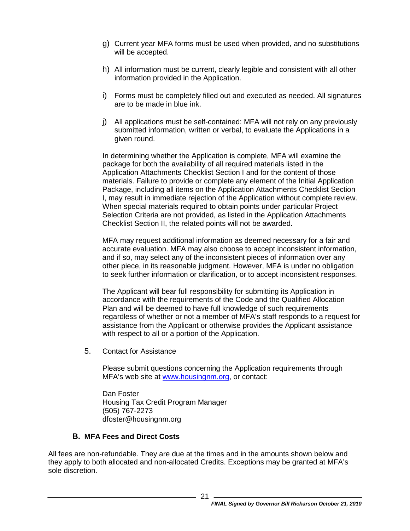- g) Current year MFA forms must be used when provided, and no substitutions will be accepted.
- h) All information must be current, clearly legible and consistent with all other information provided in the Application.
- i) Forms must be completely filled out and executed as needed. All signatures are to be made in blue ink.
- j) All applications must be self-contained: MFA will not rely on any previously submitted information, written or verbal, to evaluate the Applications in a given round.

In determining whether the Application is complete, MFA will examine the package for both the availability of all required materials listed in the Application Attachments Checklist Section I and for the content of those materials. Failure to provide or complete any element of the Initial Application Package, including all items on the Application Attachments Checklist Section I, may result in immediate rejection of the Application without complete review. When special materials required to obtain points under particular Project Selection Criteria are not provided, as listed in the Application Attachments Checklist Section II, the related points will not be awarded.

MFA may request additional information as deemed necessary for a fair and accurate evaluation. MFA may also choose to accept inconsistent information, and if so, may select any of the inconsistent pieces of information over any other piece, in its reasonable judgment. However, MFA is under no obligation to seek further information or clarification, or to accept inconsistent responses.

The Applicant will bear full responsibility for submitting its Application in accordance with the requirements of the Code and the Qualified Allocation Plan and will be deemed to have full knowledge of such requirements regardless of whether or not a member of MFA's staff responds to a request for assistance from the Applicant or otherwise provides the Applicant assistance with respect to all or a portion of the Application.

5. Contact for Assistance

Please submit questions concerning the Application requirements through MFA's web site at [www.housingnm.org,](http://www.housingnm.org/) or contact:

Dan Foster Housing Tax Credit Program Manager (505) 767-2273 dfoster@housingnm.org

#### **B. MFA Fees and Direct Costs**

<span id="page-23-0"></span>All fees are non-refundable. They are due at the times and in the amounts shown below and they apply to both allocated and non-allocated Credits. Exceptions may be granted at MFA's sole discretion.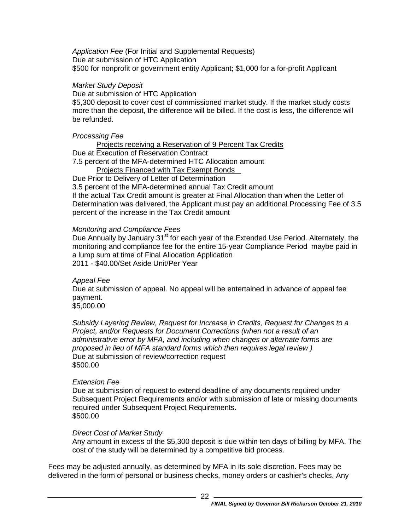*Application Fee* (For Initial and Supplemental Requests) Due at submission of HTC Application \$500 for nonprofit or government entity Applicant; \$1,000 for a for-profit Applicant

#### *Market Study Deposit*

Due at submission of HTC Application

\$5,300 deposit to cover cost of commissioned market study. If the market study costs more than the deposit, the difference will be billed. If the cost is less, the difference will be refunded.

#### *Processing Fee*

Projects receiving a Reservation of 9 Percent Tax Credits Due at Execution of Reservation Contract 7.5 percent of the MFA-determined HTC Allocation amount

Projects Financed with Tax Exempt Bonds

Due Prior to Delivery of Letter of Determination

3.5 percent of the MFA-determined annual Tax Credit amount

If the actual Tax Credit amount is greater at Final Allocation than when the Letter of Determination was delivered, the Applicant must pay an additional Processing Fee of 3.5 percent of the increase in the Tax Credit amount

#### *Monitoring and Compliance Fees*

Due Annually by January 31<sup>st</sup> for each year of the Extended Use Period. Alternately, the monitoring and compliance fee for the entire 15-year Compliance Period maybe paid in a lump sum at time of Final Allocation Application 2011 - \$40.00/Set Aside Unit/Per Year

# *Appeal Fee*

Due at submission of appeal. No appeal will be entertained in advance of appeal fee payment.

\$5,000.00

*Subsidy Layering Review, Request for Increase in Credits, Request for Changes to a Project, and/or Requests for Document Corrections (when not a result of an administrative error by MFA, and including when changes or alternate forms are proposed in lieu of MFA standard forms which then requires legal review )* Due at submission of review/correction request \$500.00

#### *Extension Fee*

Due at submission of request to extend deadline of any documents required under Subsequent Project Requirements and/or with submission of late or missing documents required under Subsequent Project Requirements. \$500.00

#### *Direct Cost of Market Study*

Any amount in excess of the \$5,300 deposit is due within ten days of billing by MFA. The cost of the study will be determined by a competitive bid process.

Fees may be adjusted annually, as determined by MFA in its sole discretion. Fees may be delivered in the form of personal or business checks, money orders or cashier's checks. Any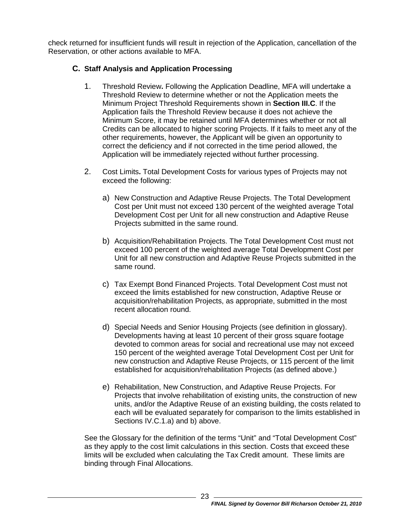check returned for insufficient funds will result in rejection of the Application, cancellation of the Reservation, or other actions available to MFA.

#### <span id="page-25-0"></span>**C. Staff Analysis and Application Processing**

- 1. Threshold Review**.** Following the Application Deadline, MFA will undertake a Threshold Review to determine whether or not the Application meets the Minimum Project Threshold Requirements shown in **Section [III.C](#page-10-0)**. If the Application fails the Threshold Review because it does not achieve the Minimum Score, it may be retained until MFA determines whether or not all Credits can be allocated to higher scoring Projects. If it fails to meet any of the other requirements, however, the Applicant will be given an opportunity to correct the deficiency and if not corrected in the time period allowed, the Application will be immediately rejected without further processing.
- 2. Cost Limits**.** Total Development Costs for various types of Projects may not exceed the following:
	- a) New Construction and Adaptive Reuse Projects. The Total Development Cost per Unit must not exceed 130 percent of the weighted average Total Development Cost per Unit for all new construction and Adaptive Reuse Projects submitted in the same round.
	- b) Acquisition/Rehabilitation Projects. The Total Development Cost must not exceed 100 percent of the weighted average Total Development Cost per Unit for all new construction and Adaptive Reuse Projects submitted in the same round.
	- c) Tax Exempt Bond Financed Projects. Total Development Cost must not exceed the limits established for new construction, Adaptive Reuse or acquisition/rehabilitation Projects, as appropriate, submitted in the most recent allocation round.
	- d) Special Needs and Senior Housing Projects (see definition in glossary). Developments having at least 10 percent of their gross square footage devoted to common areas for social and recreational use may not exceed 150 percent of the weighted average Total Development Cost per Unit for new construction and Adaptive Reuse Projects, or 115 percent of the limit established for acquisition/rehabilitation Projects (as defined above.)
	- e) Rehabilitation, New Construction, and Adaptive Reuse Projects. For Projects that involve rehabilitation of existing units, the construction of new units, and/or the Adaptive Reuse of an existing building, the costs related to each will be evaluated separately for comparison to the limits established in Sections IV.C.1.a) and b) above.

See the Glossary for the definition of the terms "Unit" and "Total Development Cost" as they apply to the cost limit calculations in this section. Costs that exceed these limits will be excluded when calculating the Tax Credit amount. These limits are binding through Final Allocations.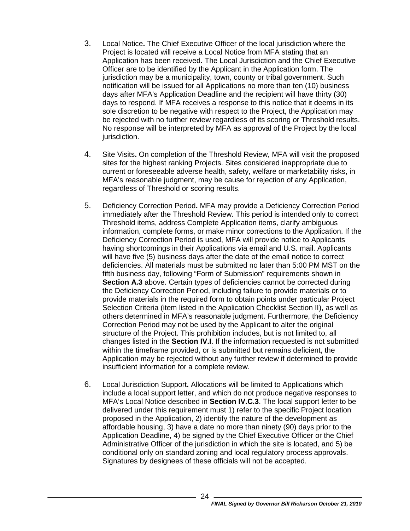- 3. Local Notice**.** The Chief Executive Officer of the local jurisdiction where the Project is located will receive a Local Notice from MFA stating that an Application has been received. The Local Jurisdiction and the Chief Executive Officer are to be identified by the Applicant in the Application form. The jurisdiction may be a municipality, town, county or tribal government. Such notification will be issued for all Applications no more than ten (10) business days after MFA's Application Deadline and the recipient will have thirty (30) days to respond. If MFA receives a response to this notice that it deems in its sole discretion to be negative with respect to the Project, the Application may be rejected with no further review regardless of its scoring or Threshold results. No response will be interpreted by MFA as approval of the Project by the local jurisdiction.
- 4. Site Visits**.** On completion of the Threshold Review, MFA will visit the proposed sites for the highest ranking Projects. Sites considered inappropriate due to current or foreseeable adverse health, safety, welfare or marketability risks, in MFA's reasonable judgment, may be cause for rejection of any Application, regardless of Threshold or scoring results.
- 5. Deficiency Correction Period**.** MFA may provide a Deficiency Correction Period immediately after the Threshold Review. This period is intended only to correct Threshold items, address Complete Application items, clarify ambiguous information, complete forms, or make minor corrections to the Application. If the Deficiency Correction Period is used, MFA will provide notice to Applicants having shortcomings in their Applications via email and U.S. mail. Applicants will have five (5) business days after the date of the email notice to correct deficiencies. All materials must be submitted no later than 5:00 PM MST on the fifth business day, following "Form of Submission" requirements shown in **Section [A.3](#page-22-0)** above. Certain types of deficiencies cannot be corrected during the Deficiency Correction Period, including failure to provide materials or to provide materials in the required form to obtain points under particular Project Selection Criteria (item listed in the Application Checklist Section II), as well as others determined in MFA's reasonable judgment. Furthermore, the Deficiency Correction Period may not be used by the Applicant to alter the original structure of the Project. This prohibition includes, but is not limited to, all changes listed in the **Section IV.I**. If the information requested is not submitted within the timeframe provided, or is submitted but remains deficient, the Application may be rejected without any further review if determined to provide insufficient information for a complete review.
- 6. Local Jurisdiction Support**.** Allocations will be limited to Applications which include a local support letter, and which do not produce negative responses to MFA's Local Notice described in **Section IV.C.3**. The local support letter to be delivered under this requirement must 1) refer to the specific Project location proposed in the Application, 2) identify the nature of the development as affordable housing, 3) have a date no more than ninety (90) days prior to the Application Deadline, 4) be signed by the Chief Executive Officer or the Chief Administrative Officer of the jurisdiction in which the site is located, and 5) be conditional only on standard zoning and local regulatory process approvals. Signatures by designees of these officials will not be accepted.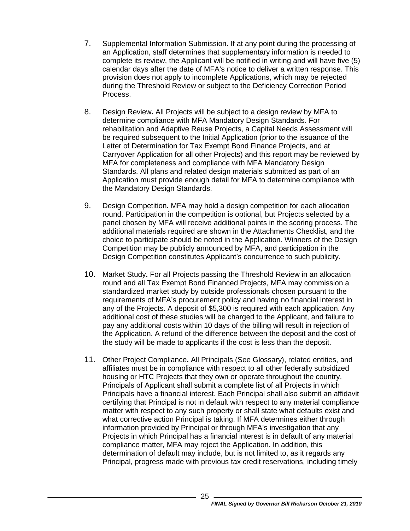- 7. Supplemental Information Submission**.** If at any point during the processing of an Application, staff determines that supplementary information is needed to complete its review, the Applicant will be notified in writing and will have five (5) calendar days after the date of MFA's notice to deliver a written response. This provision does not apply to incomplete Applications, which may be rejected during the Threshold Review or subject to the Deficiency Correction Period Process.
- 8. Design Review**.** All Projects will be subject to a design review by MFA to determine compliance with MFA Mandatory Design Standards. For rehabilitation and Adaptive Reuse Projects, a Capital Needs Assessment will be required subsequent to the Initial Application (prior to the issuance of the Letter of Determination for Tax Exempt Bond Finance Projects, and at Carryover Application for all other Projects) and this report may be reviewed by MFA for completeness and compliance with MFA Mandatory Design Standards. All plans and related design materials submitted as part of an Application must provide enough detail for MFA to determine compliance with the Mandatory Design Standards.
- 9. Design Competition**.** MFA may hold a design competition for each allocation round. Participation in the competition is optional, but Projects selected by a panel chosen by MFA will receive additional points in the scoring process. The additional materials required are shown in the Attachments Checklist, and the choice to participate should be noted in the Application. Winners of the Design Competition may be publicly announced by MFA, and participation in the Design Competition constitutes Applicant's concurrence to such publicity.
- 10. Market Study**.** For all Projects passing the Threshold Review in an allocation round and all Tax Exempt Bond Financed Projects, MFA may commission a standardized market study by outside professionals chosen pursuant to the requirements of MFA's procurement policy and having no financial interest in any of the Projects. A deposit of \$5,300 is required with each application. Any additional cost of these studies will be charged to the Applicant, and failure to pay any additional costs within 10 days of the billing will result in rejection of the Application. A refund of the difference between the deposit and the cost of the study will be made to applicants if the cost is less than the deposit.
- 11. Other Project Compliance**.** All Principals (See Glossary), related entities, and affiliates must be in compliance with respect to all other federally subsidized housing or HTC Projects that they own or operate throughout the country. Principals of Applicant shall submit a complete list of all Projects in which Principals have a financial interest. Each Principal shall also submit an affidavit certifying that Principal is not in default with respect to any material compliance matter with respect to any such property or shall state what defaults exist and what corrective action Principal is taking. If MFA determines either through information provided by Principal or through MFA's investigation that any Projects in which Principal has a financial interest is in default of any material compliance matter, MFA may reject the Application. In addition, this determination of default may include, but is not limited to, as it regards any Principal, progress made with previous tax credit reservations, including timely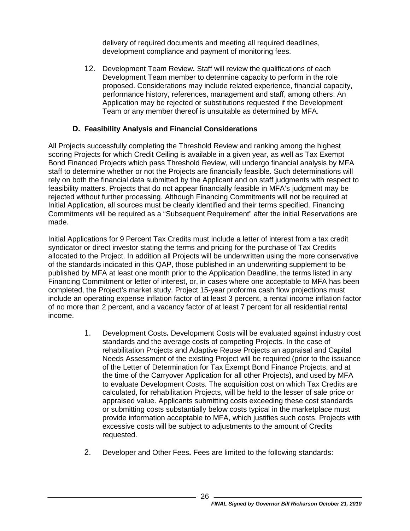delivery of required documents and meeting all required deadlines, development compliance and payment of monitoring fees.

12. Development Team Review**.** Staff will review the qualifications of each Development Team member to determine capacity to perform in the role proposed. Considerations may include related experience, financial capacity, performance history, references, management and staff, among others. An Application may be rejected or substitutions requested if the Development Team or any member thereof is unsuitable as determined by MFA.

#### **D. Feasibility Analysis and Financial Considerations**

<span id="page-28-0"></span>All Projects successfully completing the Threshold Review and ranking among the highest scoring Projects for which Credit Ceiling is available in a given year, as well as Tax Exempt Bond Financed Projects which pass Threshold Review, will undergo financial analysis by MFA staff to determine whether or not the Projects are financially feasible. Such determinations will rely on both the financial data submitted by the Applicant and on staff judgments with respect to feasibility matters. Projects that do not appear financially feasible in MFA's judgment may be rejected without further processing. Although Financing Commitments will not be required at Initial Application, all sources must be clearly identified and their terms specified. Financing Commitments will be required as a "Subsequent Requirement" after the initial Reservations are made.

Initial Applications for 9 Percent Tax Credits must include a letter of interest from a tax credit syndicator or direct investor stating the terms and pricing for the purchase of Tax Credits allocated to the Project. In addition all Projects will be underwritten using the more conservative of the standards indicated in this QAP, those published in an underwriting supplement to be published by MFA at least one month prior to the Application Deadline, the terms listed in any Financing Commitment or letter of interest, or, in cases where one acceptable to MFA has been completed, the Project's market study. Project 15-year proforma cash flow projections must include an operating expense inflation factor of at least 3 percent, a rental income inflation factor of no more than 2 percent, and a vacancy factor of at least 7 percent for all residential rental income.

- 1. Development Costs**.** Development Costs will be evaluated against industry cost standards and the average costs of competing Projects. In the case of rehabilitation Projects and Adaptive Reuse Projects an appraisal and Capital Needs Assessment of the existing Project will be required (prior to the issuance of the Letter of Determination for Tax Exempt Bond Finance Projects, and at the time of the Carryover Application for all other Projects), and used by MFA to evaluate Development Costs. The acquisition cost on which Tax Credits are calculated, for rehabilitation Projects, will be held to the lesser of sale price or appraised value. Applicants submitting costs exceeding these cost standards or submitting costs substantially below costs typical in the marketplace must provide information acceptable to MFA, which justifies such costs. Projects with excessive costs will be subject to adjustments to the amount of Credits requested.
- 2. Developer and Other Fees**.** Fees are limited to the following standards: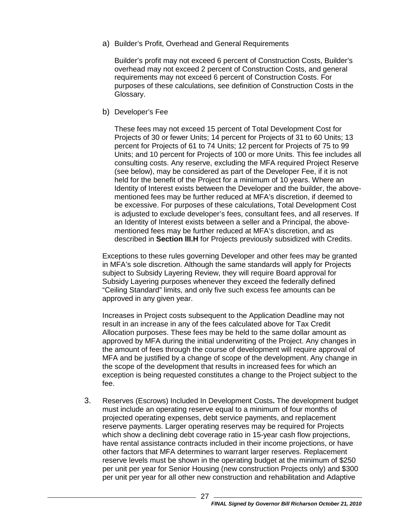a) Builder's Profit, Overhead and General Requirements

Builder's profit may not exceed 6 percent of Construction Costs, Builder's overhead may not exceed 2 percent of Construction Costs, and general requirements may not exceed 6 percent of Construction Costs. For purposes of these calculations, see definition of Construction Costs in the Glossary.

<span id="page-29-0"></span>b) Developer's Fee

These fees may not exceed 15 percent of Total Development Cost for Projects of 30 or fewer Units; 14 percent for Projects of 31 to 60 Units; 13 percent for Projects of 61 to 74 Units; 12 percent for Projects of 75 to 99 Units; and 10 percent for Projects of 100 or more Units. This fee includes all consulting costs. Any reserve, excluding the MFA required Project Reserve (see below), may be considered as part of the Developer Fee, if it is not held for the benefit of the Project for a minimum of 10 years. Where an Identity of Interest exists between the Developer and the builder, the abovementioned fees may be further reduced at MFA's discretion, if deemed to be excessive. For purposes of these calculations, Total Development Cost is adjusted to exclude developer's fees, consultant fees, and all reserves. If an Identity of Interest exists between a seller and a Principal, the abovementioned fees may be further reduced at MFA's discretion, and as described in **Section [III.H](#page-21-0)** for Projects previously subsidized with Credits.

Exceptions to these rules governing Developer and other fees may be granted in MFA's sole discretion. Although the same standards will apply for Projects subject to Subsidy Layering Review, they will require Board approval for Subsidy Layering purposes whenever they exceed the federally defined "Ceiling Standard" limits, and only five such excess fee amounts can be approved in any given year.

Increases in Project costs subsequent to the Application Deadline may not result in an increase in any of the fees calculated above for Tax Credit Allocation purposes. These fees may be held to the same dollar amount as approved by MFA during the initial underwriting of the Project. Any changes in the amount of fees through the course of development will require approval of MFA and be justified by a change of scope of the development. Any change in the scope of the development that results in increased fees for which an exception is being requested constitutes a change to the Project subject to the fee.

3. Reserves (Escrows) Included In Development Costs**.** The development budget must include an operating reserve equal to a minimum of four months of projected operating expenses, debt service payments, and replacement reserve payments. Larger operating reserves may be required for Projects which show a declining debt coverage ratio in 15-year cash flow projections, have rental assistance contracts included in their income projections, or have other factors that MFA determines to warrant larger reserves. Replacement reserve levels must be shown in the operating budget at the minimum of \$250 per unit per year for Senior Housing (new construction Projects only) and \$300 per unit per year for all other new construction and rehabilitation and Adaptive

27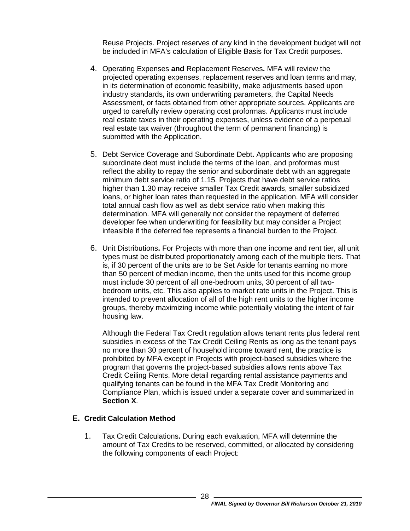Reuse Projects. Project reserves of any kind in the development budget will not be included in MFA's calculation of Eligible Basis for Tax Credit purposes.

- 4. Operating Expenses **and** Replacement Reserves**.** MFA will review the projected operating expenses, replacement reserves and loan terms and may, in its determination of economic feasibility, make adjustments based upon industry standards, its own underwriting parameters, the Capital Needs Assessment, or facts obtained from other appropriate sources. Applicants are urged to carefully review operating cost proformas. Applicants must include real estate taxes in their operating expenses, unless evidence of a perpetual real estate tax waiver (throughout the term of permanent financing) is submitted with the Application.
- 5. Debt Service Coverage and Subordinate Debt**.** Applicants who are proposing subordinate debt must include the terms of the loan, and proformas must reflect the ability to repay the senior and subordinate debt with an aggregate minimum debt service ratio of 1.15. Projects that have debt service ratios higher than 1.30 may receive smaller Tax Credit awards, smaller subsidized loans, or higher loan rates than requested in the application. MFA will consider total annual cash flow as well as debt service ratio when making this determination. MFA will generally not consider the repayment of deferred developer fee when underwriting for feasibility but may consider a Project infeasible if the deferred fee represents a financial burden to the Project.
- 6. Unit Distributions**.** For Projects with more than one income and rent tier, all unit types must be distributed proportionately among each of the multiple tiers. That is, if 30 percent of the units are to be Set Aside for tenants earning no more than 50 percent of median income, then the units used for this income group must include 30 percent of all one-bedroom units, 30 percent of all twobedroom units, etc. This also applies to market rate units in the Project. This is intended to prevent allocation of all of the high rent units to the higher income groups, thereby maximizing income while potentially violating the intent of fair housing law.

Although the Federal Tax Credit regulation allows tenant rents plus federal rent subsidies in excess of the Tax Credit Ceiling Rents as long as the tenant pays no more than 30 percent of household income toward rent, the practice is prohibited by MFA except in Projects with project-based subsidies where the program that governs the project-based subsidies allows rents above Tax Credit Ceiling Rents. More detail regarding rental assistance payments and qualifying tenants can be found in the MFA Tax Credit Monitoring and Compliance Plan, which is issued under a separate cover and summarized in **Section [X](#page-43-3)**.

#### <span id="page-30-0"></span>**E. Credit Calculation Method**

1. Tax Credit Calculations**.** During each evaluation, MFA will determine the amount of Tax Credits to be reserved, committed, or allocated by considering the following components of each Project: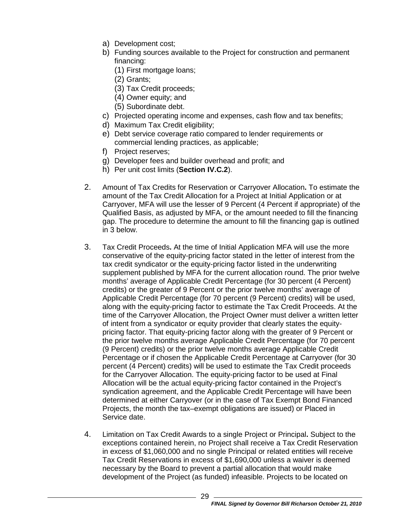- a) Development cost;
- b) Funding sources available to the Project for construction and permanent financing:
	- (1) First mortgage loans;
	- (2) Grants;
	- (3) Tax Credit proceeds;
	- (4) Owner equity; and
	- (5) Subordinate debt.
- c) Projected operating income and expenses, cash flow and tax benefits;
- d) Maximum Tax Credit eligibility;
- e) Debt service coverage ratio compared to lender requirements or commercial lending practices, as applicable;
- f) Project reserves;
- g) Developer fees and builder overhead and profit; and
- h) Per unit cost limits (**Section IV.C.2**).
- <span id="page-31-1"></span>2. Amount of Tax Credits for Reservation or Carryover Allocation**.** To estimate the amount of the Tax Credit Allocation for a Project at Initial Application or at Carryover, MFA will use the lesser of 9 Percent (4 Percent if appropriate) of the Qualified Basis, as adjusted by MFA, or the amount needed to fill the financing gap. The procedure to determine the amount to fill the financing gap is outlined in [3](#page-31-0) below.
- <span id="page-31-0"></span>3. Tax Credit Proceeds**.** At the time of Initial Application MFA will use the more conservative of the equity-pricing factor stated in the letter of interest from the tax credit syndicator or the equity-pricing factor listed in the underwriting supplement published by MFA for the current allocation round. The prior twelve months' average of Applicable Credit Percentage (for 30 percent (4 Percent) credits) or the greater of 9 Percent or the prior twelve months' average of Applicable Credit Percentage (for 70 percent (9 Percent) credits) will be used, along with the equity-pricing factor to estimate the Tax Credit Proceeds. At the time of the Carryover Allocation, the Project Owner must deliver a written letter of intent from a syndicator or equity provider that clearly states the equitypricing factor. That equity-pricing factor along with the greater of 9 Percent or the prior twelve months average Applicable Credit Percentage (for 70 percent (9 Percent) credits) or the prior twelve months average Applicable Credit Percentage or if chosen the Applicable Credit Percentage at Carryover (for 30 percent (4 Percent) credits) will be used to estimate the Tax Credit proceeds for the Carryover Allocation. The equity-pricing factor to be used at Final Allocation will be the actual equity-pricing factor contained in the Project's syndication agreement, and the Applicable Credit Percentage will have been determined at either Carryover (or in the case of Tax Exempt Bond Financed Projects, the month the tax–exempt obligations are issued) or Placed in Service date.
- 4. Limitation on Tax Credit Awards to a single Project or Principal**.** Subject to the exceptions contained herein, no Project shall receive a Tax Credit Reservation in excess of \$1,060,000 and no single Principal or related entities will receive Tax Credit Reservations in excess of \$1,690,000 unless a waiver is deemed necessary by the Board to prevent a partial allocation that would make development of the Project (as funded) infeasible. Projects to be located on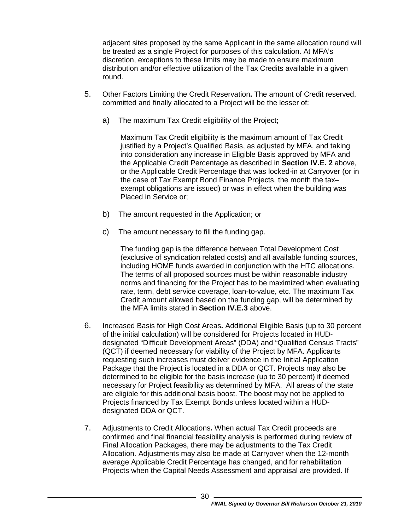adjacent sites proposed by the same Applicant in the same allocation round will be treated as a single Project for purposes of this calculation. At MFA's discretion, exceptions to these limits may be made to ensure maximum distribution and/or effective utilization of the Tax Credits available in a given round.

- 5. Other Factors Limiting the Credit Reservation**.** The amount of Credit reserved, committed and finally allocated to a Project will be the lesser of:
	- a) The maximum Tax Credit eligibility of the Project;

Maximum Tax Credit eligibility is the maximum amount of Tax Credit justified by a Project's Qualified Basis, as adjusted by MFA, and taking into consideration any increase in Eligible Basis approved by MFA and the Applicable Credit Percentage as described in **Section IV.E. [2](#page-31-1)** above, or the Applicable Credit Percentage that was locked-in at Carryover (or in the case of Tax Exempt Bond Finance Projects, the month the tax– exempt obligations are issued) or was in effect when the building was Placed in Service or;

- b) The amount requested in the Application; or
- c) The amount necessary to fill the funding gap.

The funding gap is the difference between Total Development Cost (exclusive of syndication related costs) and all available funding sources, including HOME funds awarded in conjunction with the HTC allocations. The terms of all proposed sources must be within reasonable industry norms and financing for the Project has to be maximized when evaluating rate, term, debt service coverage, loan-to-value, etc. The maximum Tax Credit amount allowed based on the funding gap, will be determined by the MFA limits stated in **Section IV.E[.3](#page-31-0)** above.

- 6. Increased Basis for High Cost Areas**.** Additional Eligible Basis (up to 30 percent of the initial calculation) will be considered for Projects located in HUDdesignated "Difficult Development Areas" (DDA) and "Qualified Census Tracts" (QCT) if deemed necessary for viability of the Project by MFA. Applicants requesting such increases must deliver evidence in the Initial Application Package that the Project is located in a DDA or QCT. Projects may also be determined to be eligible for the basis increase (up to 30 percent) if deemed necessary for Project feasibility as determined by MFA. All areas of the state are eligible for this additional basis boost. The boost may not be applied to Projects financed by Tax Exempt Bonds unless located within a HUDdesignated DDA or QCT.
- 7. Adjustments to Credit Allocations**.** When actual Tax Credit proceeds are confirmed and final financial feasibility analysis is performed during review of Final Allocation Packages, there may be adjustments to the Tax Credit Allocation. Adjustments may also be made at Carryover when the 12-month average Applicable Credit Percentage has changed, and for rehabilitation Projects when the Capital Needs Assessment and appraisal are provided. If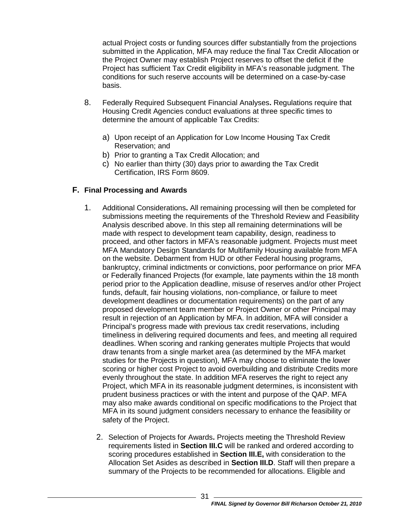actual Project costs or funding sources differ substantially from the projections submitted in the Application, MFA may reduce the final Tax Credit Allocation or the Project Owner may establish Project reserves to offset the deficit if the Project has sufficient Tax Credit eligibility in MFA's reasonable judgment. The conditions for such reserve accounts will be determined on a case-by-case basis.

- 8. Federally Required Subsequent Financial Analyses**.** Regulations require that Housing Credit Agencies conduct evaluations at three specific times to determine the amount of applicable Tax Credits:
	- a) Upon receipt of an Application for Low Income Housing Tax Credit Reservation; and
	- b) Prior to granting a Tax Credit Allocation; and
	- c) No earlier than thirty (30) days prior to awarding the Tax Credit Certification, IRS Form 8609.

#### <span id="page-33-0"></span>**F. Final Processing and Awards**

- 1. Additional Considerations**.** All remaining processing will then be completed for submissions meeting the requirements of the Threshold Review and Feasibility Analysis described above. In this step all remaining determinations will be made with respect to development team capability, design, readiness to proceed, and other factors in MFA's reasonable judgment. Projects must meet MFA Mandatory Design Standards for Multifamily Housing available from MFA on the website. Debarment from HUD or other Federal housing programs, bankruptcy, criminal indictments or convictions, poor performance on prior MFA or Federally financed Projects (for example, late payments within the 18 month period prior to the Application deadline, misuse of reserves and/or other Project funds, default, fair housing violations, non-compliance, or failure to meet development deadlines or documentation requirements) on the part of any proposed development team member or Project Owner or other Principal may result in rejection of an Application by MFA. In addition, MFA will consider a Principal's progress made with previous tax credit reservations, including timeliness in delivering required documents and fees, and meeting all required deadlines. When scoring and ranking generates multiple Projects that would draw tenants from a single market area (as determined by the MFA market studies for the Projects in question), MFA may choose to eliminate the lower scoring or higher cost Project to avoid overbuilding and distribute Credits more evenly throughout the state. In addition MFA reserves the right to reject any Project, which MFA in its reasonable judgment determines, is inconsistent with prudent business practices or with the intent and purpose of the QAP. MFA may also make awards conditional on specific modifications to the Project that MFA in its sound judgment considers necessary to enhance the feasibility or safety of the Project.
	- 2. Selection of Projects for Awards**.** Projects meeting the Threshold Review requirements listed in **Section III.C** will be ranked and ordered according to scoring procedures established in **Section III.E,** with consideration to the Allocation Set Asides as described in **Section III.D**. Staff will then prepare a summary of the Projects to be recommended for allocations. Eligible and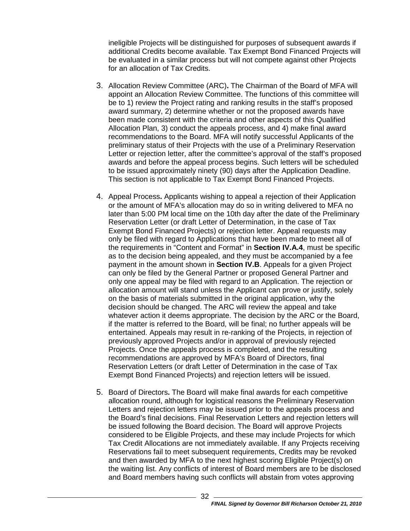ineligible Projects will be distinguished for purposes of subsequent awards if additional Credits become available. Tax Exempt Bond Financed Projects will be evaluated in a similar process but will not compete against other Projects for an allocation of Tax Credits.

- 3. Allocation Review Committee (ARC)**.** The Chairman of the Board of MFA will appoint an Allocation Review Committee. The functions of this committee will be to 1) review the Project rating and ranking results in the staff's proposed award summary, 2) determine whether or not the proposed awards have been made consistent with the criteria and other aspects of this Qualified Allocation Plan, 3) conduct the appeals process, and 4) make final award recommendations to the Board. MFA will notify successful Applicants of the preliminary status of their Projects with the use of a Preliminary Reservation Letter or rejection letter, after the committee's approval of the staff's proposed awards and before the appeal process begins. Such letters will be scheduled to be issued approximately ninety (90) days after the Application Deadline. This section is not applicable to Tax Exempt Bond Financed Projects.
- 4. Appeal Process**.** Applicants wishing to appeal a rejection of their Application or the amount of MFA's allocation may do so in writing delivered to MFA no later than 5:00 PM local time on the 10th day after the date of the Preliminary Reservation Letter (or draft Letter of Determination, in the case of Tax Exempt Bond Financed Projects) or rejection letter. Appeal requests may only be filed with regard to Applications that have been made to meet all of the requirements in "Content and Format" in **Section [IV.A.4](#page-22-1)**, must be specific as to the decision being appealed, and they must be accompanied by a fee payment in the amount shown in **Section IV.B**. Appeals for a given Project can only be filed by the General Partner or proposed General Partner and only one appeal may be filed with regard to an Application. The rejection or allocation amount will stand unless the Applicant can prove or justify, solely on the basis of materials submitted in the original application, why the decision should be changed. The ARC will review the appeal and take whatever action it deems appropriate. The decision by the ARC or the Board, if the matter is referred to the Board, will be final; no further appeals will be entertained. Appeals may result in re-ranking of the Projects, in rejection of previously approved Projects and/or in approval of previously rejected Projects. Once the appeals process is completed, and the resulting recommendations are approved by MFA's Board of Directors, final Reservation Letters (or draft Letter of Determination in the case of Tax Exempt Bond Financed Projects) and rejection letters will be issued.
- 5. Board of Directors**.** The Board will make final awards for each competitive allocation round, although for logistical reasons the Preliminary Reservation Letters and rejection letters may be issued prior to the appeals process and the Board's final decisions. Final Reservation Letters and rejection letters will be issued following the Board decision. The Board will approve Projects considered to be Eligible Projects, and these may include Projects for which Tax Credit Allocations are not immediately available. If any Projects receiving Reservations fail to meet subsequent requirements, Credits may be revoked and then awarded by MFA to the next highest scoring Eligible Project(s) on the waiting list. Any conflicts of interest of Board members are to be disclosed and Board members having such conflicts will abstain from votes approving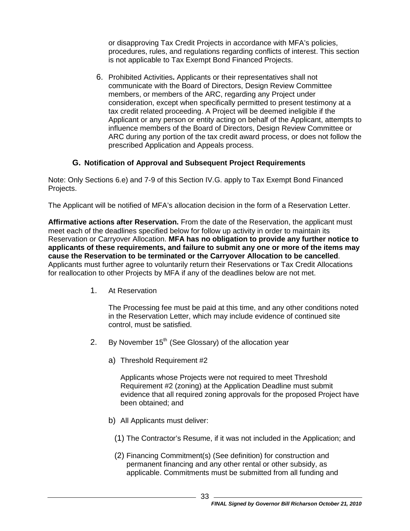or disapproving Tax Credit Projects in accordance with MFA's policies, procedures, rules, and regulations regarding conflicts of interest. This section is not applicable to Tax Exempt Bond Financed Projects.

6. Prohibited Activities**.** Applicants or their representatives shall not communicate with the Board of Directors, Design Review Committee members, or members of the ARC, regarding any Project under consideration, except when specifically permitted to present testimony at a tax credit related proceeding. A Project will be deemed ineligible if the Applicant or any person or entity acting on behalf of the Applicant, attempts to influence members of the Board of Directors, Design Review Committee or ARC during any portion of the tax credit award process, or does not follow the prescribed Application and Appeals process.

#### **G. Notification of Approval and Subsequent Project Requirements**

<span id="page-35-0"></span>Note: Only Sections 6.e) and 7-9 of this Section IV.G. apply to Tax Exempt Bond Financed Projects.

The Applicant will be notified of MFA's allocation decision in the form of a Reservation Letter.

**Affirmative actions after Reservation.** From the date of the Reservation, the applicant must meet each of the deadlines specified below for follow up activity in order to maintain its Reservation or Carryover Allocation. **MFA has no obligation to provide any further notice to applicants of these requirements, and failure to submit any one or more of the items may cause the Reservation to be terminated or the Carryover Allocation to be cancelled**. Applicants must further agree to voluntarily return their Reservations or Tax Credit Allocations for reallocation to other Projects by MFA if any of the deadlines below are not met.

1. At Reservation

The Processing fee must be paid at this time, and any other conditions noted in the Reservation Letter, which may include evidence of continued site control, must be satisfied.

- 2. By November  $15<sup>th</sup>$  (See Glossary) of the allocation year
	- a) Threshold Requirement #2

Applicants whose Projects were not required to meet Threshold Requirement #2 (zoning) at the Application Deadline must submit evidence that all required zoning approvals for the proposed Project have been obtained; and

- b) All Applicants must deliver:
	- (1) The Contractor's Resume, if it was not included in the Application; and
	- (2) Financing Commitment(s) (See definition) for construction and permanent financing and any other rental or other subsidy, as applicable. Commitments must be submitted from all funding and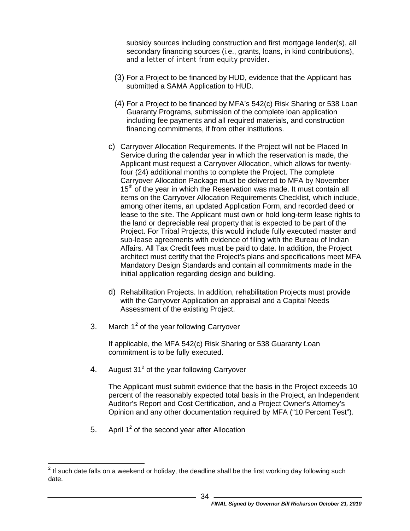subsidy sources including construction and first mortgage lender(s), all secondary financing sources (i.e., grants, loans, in kind contributions), and a letter of intent from equity provider.

- (3) For a Project to be financed by HUD, evidence that the Applicant has submitted a SAMA Application to HUD.
- (4) For a Project to be financed by MFA's 542(c) Risk Sharing or 538 Loan Guaranty Programs, submission of the complete loan application including fee payments and all required materials, and construction financing commitments, if from other institutions.
- c) Carryover Allocation Requirements. If the Project will not be Placed In Service during the calendar year in which the reservation is made, the Applicant must request a Carryover Allocation, which allows for twentyfour (24) additional months to complete the Project. The complete Carryover Allocation Package must be delivered to MFA by November 15<sup>th</sup> of the year in which the Reservation was made. It must contain all items on the Carryover Allocation Requirements Checklist, which include, among other items, an updated Application Form, and recorded deed or lease to the site. The Applicant must own or hold long-term lease rights to the land or depreciable real property that is expected to be part of the Project. For Tribal Projects, this would include fully executed master and sub-lease agreements with evidence of filing with the Bureau of Indian Affairs. All Tax Credit fees must be paid to date. In addition, the Project architect must certify that the Project's plans and specifications meet MFA Mandatory Design Standards and contain all commitments made in the initial application regarding design and building.
- d) Rehabilitation Projects. In addition, rehabilitation Projects must provide with the Carryover Application an appraisal and a Capital Needs Assessment of the existing Project.
- 3. March  $1^2$  $1^2$  of the year following Carryover

If applicable, the MFA 542(c) Risk Sharing or 538 Guaranty Loan commitment is to be fully executed.

4. August  $31<sup>2</sup>$  of the year following Carryover

The Applicant must submit evidence that the basis in the Project exceeds 10 percent of the reasonably expected total basis in the Project, an Independent Auditor's Report and Cost Certification, and a Project Owner's Attorney's Opinion and any other documentation required by MFA ("10 Percent Test").

5. April  $1^2$  of the second vear after Allocation

<span id="page-36-0"></span> $2$  If such date falls on a weekend or holiday, the deadline shall be the first working day following such date.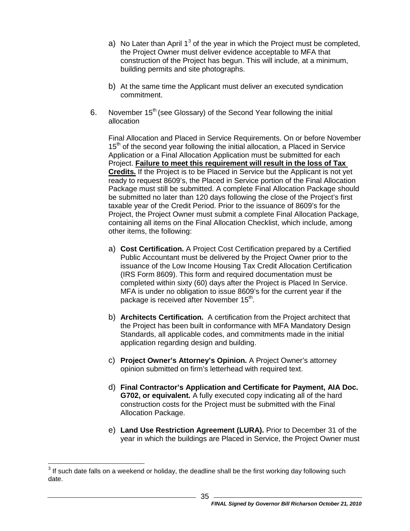- a) No Later than April  $1^3$  $1^3$  of the year in which the Project must be completed, the Project Owner must deliver evidence acceptable to MFA that construction of the Project has begun. This will include, at a minimum, building permits and site photographs.
- b) At the same time the Applicant must deliver an executed syndication commitment.
- 6. November 15<sup>th</sup> (see Glossary) of the Second Year following the initial allocation

Final Allocation and Placed in Service Requirements. On or before November 15<sup>th</sup> of the second year following the initial allocation, a Placed in Service Application or a Final Allocation Application must be submitted for each Project. **Failure to meet this requirement will result in the loss of Tax Credits.** If the Project is to be Placed in Service but the Applicant is not yet ready to request 8609's, the Placed in Service portion of the Final Allocation Package must still be submitted. A complete Final Allocation Package should be submitted no later than 120 days following the close of the Project's first taxable year of the Credit Period. Prior to the issuance of 8609's for the Project, the Project Owner must submit a complete Final Allocation Package, containing all items on the Final Allocation Checklist, which include, among other items, the following:

- a) **Cost Certification.** A Project Cost Certification prepared by a Certified Public Accountant must be delivered by the Project Owner prior to the issuance of the Low Income Housing Tax Credit Allocation Certification (IRS Form 8609). This form and required documentation must be completed within sixty (60) days after the Project is Placed In Service. MFA is under no obligation to issue 8609's for the current year if the package is received after November 15<sup>th</sup>.
- b) **Architects Certification.** A certification from the Project architect that the Project has been built in conformance with MFA Mandatory Design Standards, all applicable codes, and commitments made in the initial application regarding design and building.
- c) **Project Owner's Attorney's Opinion.** A Project Owner's attorney opinion submitted on firm's letterhead with required text.
- d) **Final Contractor's Application and Certificate for Payment, AIA Doc. G702, or equivalent.** A fully executed copy indicating all of the hard construction costs for the Project must be submitted with the Final Allocation Package.
- e) **Land Use Restriction Agreement (LURA).** Prior to December 31 of the year in which the buildings are Placed in Service, the Project Owner must

 $3$  If such date falls on a weekend or holiday, the deadline shall be the first working day following such date.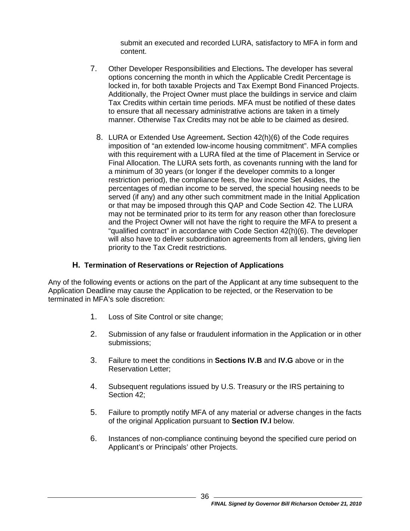submit an executed and recorded LURA, satisfactory to MFA in form and content.

- 7. Other Developer Responsibilities and Elections**.** The developer has several options concerning the month in which the Applicable Credit Percentage is locked in, for both taxable Projects and Tax Exempt Bond Financed Projects. Additionally, the Project Owner must place the buildings in service and claim Tax Credits within certain time periods. MFA must be notified of these dates to ensure that all necessary administrative actions are taken in a timely manner. Otherwise Tax Credits may not be able to be claimed as desired.
	- 8. LURA or Extended Use Agreement**.** Section 42(h)(6) of the Code requires imposition of "an extended low-income housing commitment". MFA complies with this requirement with a LURA filed at the time of Placement in Service or Final Allocation. The LURA sets forth, as covenants running with the land for a minimum of 30 years (or longer if the developer commits to a longer restriction period), the compliance fees, the low income Set Asides, the percentages of median income to be served, the special housing needs to be served (if any) and any other such commitment made in the Initial Application or that may be imposed through this QAP and Code Section 42. The LURA may not be terminated prior to its term for any reason other than foreclosure and the Project Owner will not have the right to require the MFA to present a "qualified contract" in accordance with Code Section 42(h)(6). The developer will also have to deliver subordination agreements from all lenders, giving lien priority to the Tax Credit restrictions.

#### **H. Termination of Reservations or Rejection of Applications**

<span id="page-38-0"></span>Any of the following events or actions on the part of the Applicant at any time subsequent to the Application Deadline may cause the Application to be rejected, or the Reservation to be terminated in MFA's sole discretion:

- 1. Loss of Site Control or site change;
- 2. Submission of any false or fraudulent information in the Application or in other submissions;
- 3. Failure to meet the conditions in **Sections IV.B** and **IV[.G](#page-35-0)** above or in the Reservation Letter;
- 4. Subsequent regulations issued by U.S. Treasury or the IRS pertaining to Section 42;
- 5. Failure to promptly notify MFA of any material or adverse changes in the facts of the original Application pursuant to **Section IV[.I](#page-39-0)** below.
- 6. Instances of non-compliance continuing beyond the specified cure period on Applicant's or Principals' other Projects.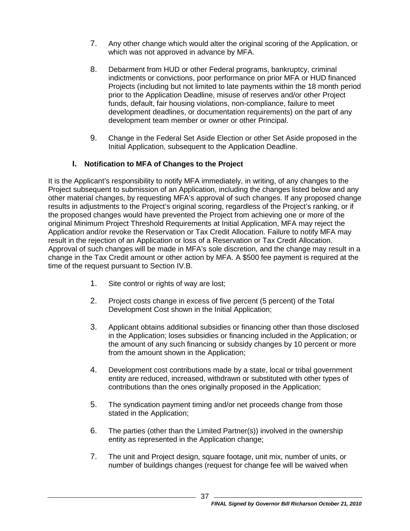- 7. Any other change which would alter the original scoring of the Application, or which was not approved in advance by MFA.
- 8. Debarment from HUD or other Federal programs, bankruptcy, criminal indictments or convictions, poor performance on prior MFA or HUD financed Projects (including but not limited to late payments within the 18 month period prior to the Application Deadline, misuse of reserves and/or other Project funds, default, fair housing violations, non-compliance, failure to meet development deadlines, or documentation requirements) on the part of any development team member or owner or other Principal.
- 9. Change in the Federal Set Aside Election or other Set Aside proposed in the Initial Application, subsequent to the Application Deadline.

## **I. Notification to MFA of Changes to the Project**

<span id="page-39-0"></span>It is the Applicant's responsibility to notify MFA immediately, in writing, of any changes to the Project subsequent to submission of an Application, including the changes listed below and any other material changes, by requesting MFA's approval of such changes. If any proposed change results in adjustments to the Project's original scoring, regardless of the Project's ranking, or if the proposed changes would have prevented the Project from achieving one or more of the original Minimum Project Threshold Requirements at Initial Application, MFA may reject the Application and/or revoke the Reservation or Tax Credit Allocation. Failure to notify MFA may result in the rejection of an Application or loss of a Reservation or Tax Credit Allocation. Approval of such changes will be made in MFA's sole discretion, and the change may result in a change in the Tax Credit amount or other action by MFA. A \$500 fee payment is required at the time of the request pursuant to Section IV.B.

- 1. Site control or rights of way are lost;
- 2. Project costs change in excess of five percent (5 percent) of the Total Development Cost shown in the Initial Application;
- 3. Applicant obtains additional subsidies or financing other than those disclosed in the Application; loses subsidies or financing included in the Application; or the amount of any such financing or subsidy changes by 10 percent or more from the amount shown in the Application;
- 4. Development cost contributions made by a state, local or tribal government entity are reduced, increased, withdrawn or substituted with other types of contributions than the ones originally proposed in the Application;
- 5. The syndication payment timing and/or net proceeds change from those stated in the Application;
- 6. The parties (other than the Limited Partner(s)) involved in the ownership entity as represented in the Application change;
- 7. The unit and Project design, square footage, unit mix, number of units, or number of buildings changes (request for change fee will be waived when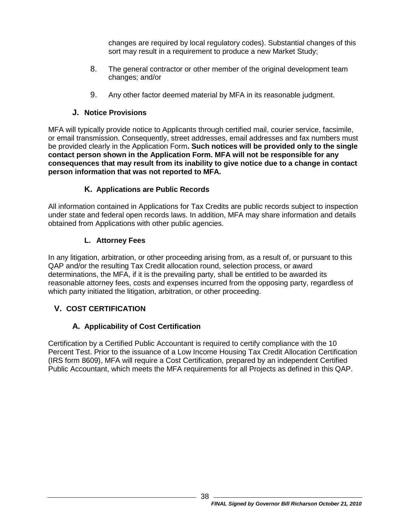changes are required by local regulatory codes). Substantial changes of this sort may result in a requirement to produce a new Market Study;

- 8. The general contractor or other member of the original development team changes; and/or
- 9. Any other factor deemed material by MFA in its reasonable judgment.

# **J. Notice Provisions**

<span id="page-40-0"></span>MFA will typically provide notice to Applicants through certified mail, courier service, facsimile, or email transmission. Consequently, street addresses, email addresses and fax numbers must be provided clearly in the Application Form**. Such notices will be provided only to the single contact person shown in the Application Form. MFA will not be responsible for any consequences that may result from its inability to give notice due to a change in contact person information that was not reported to MFA.**

# **K. Applications are Public Records**

<span id="page-40-1"></span>All information contained in Applications for Tax Credits are public records subject to inspection under state and federal open records laws. In addition, MFA may share information and details obtained from Applications with other public agencies.

# **L. Attorney Fees**

<span id="page-40-2"></span>In any litigation, arbitration, or other proceeding arising from, as a result of, or pursuant to this QAP and/or the resulting Tax Credit allocation round, selection process, or award determinations, the MFA, if it is the prevailing party, shall be entitled to be awarded its reasonable attorney fees, costs and expenses incurred from the opposing party, regardless of which party initiated the litigation, arbitration, or other proceeding.

# <span id="page-40-3"></span>**V. COST CERTIFICATION**

# **A. Applicability of Cost Certification**

<span id="page-40-4"></span>Certification by a Certified Public Accountant is required to certify compliance with the 10 Percent Test. Prior to the issuance of a Low Income Housing Tax Credit Allocation Certification (IRS form 8609), MFA will require a Cost Certification, prepared by an independent Certified Public Accountant, which meets the MFA requirements for all Projects as defined in this QAP.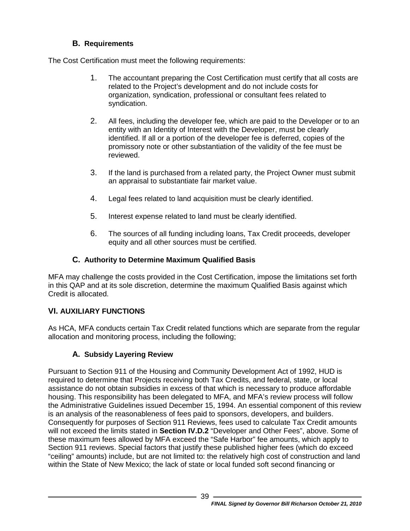# **B. Requirements**

<span id="page-41-0"></span>The Cost Certification must meet the following requirements:

- 1. The accountant preparing the Cost Certification must certify that all costs are related to the Project's development and do not include costs for organization, syndication, professional or consultant fees related to syndication.
- 2. All fees, including the developer fee, which are paid to the Developer or to an entity with an Identity of Interest with the Developer, must be clearly identified. If all or a portion of the developer fee is deferred, copies of the promissory note or other substantiation of the validity of the fee must be reviewed.
- 3. If the land is purchased from a related party, the Project Owner must submit an appraisal to substantiate fair market value.
- 4. Legal fees related to land acquisition must be clearly identified.
- 5. Interest expense related to land must be clearly identified.
- 6. The sources of all funding including loans, Tax Credit proceeds, developer equity and all other sources must be certified.

# **C. Authority to Determine Maximum Qualified Basis**

<span id="page-41-1"></span>MFA may challenge the costs provided in the Cost Certification, impose the limitations set forth in this QAP and at its sole discretion, determine the maximum Qualified Basis against which Credit is allocated.

# <span id="page-41-2"></span>**VI. AUXILIARY FUNCTIONS**

As HCA, MFA conducts certain Tax Credit related functions which are separate from the regular allocation and monitoring process, including the following;

# **A. Subsidy Layering Review**

<span id="page-41-3"></span>Pursuant to Section 911 of the Housing and Community Development Act of 1992, HUD is required to determine that Projects receiving both Tax Credits, and federal, state, or local assistance do not obtain subsidies in excess of that which is necessary to produce affordable housing. This responsibility has been delegated to MFA, and MFA's review process will follow the Administrative Guidelines issued December 15, 1994. An essential component of this review is an analysis of the reasonableness of fees paid to sponsors, developers, and builders. Consequently for purposes of Section 911 Reviews, fees used to calculate Tax Credit amounts will not exceed the limits stated in **Section [IV.D.](#page-28-0)2** "Developer and Other Fees", above. Some of these maximum fees allowed by MFA exceed the "Safe Harbor" fee amounts, which apply to Section 911 reviews. Special factors that justify these published higher fees (which do exceed "ceiling" amounts) include, but are not limited to: the relatively high cost of construction and land within the State of New Mexico; the lack of state or local funded soft second financing or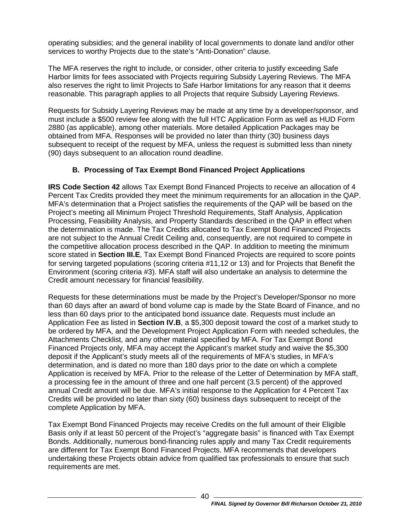operating subsidies; and the general inability of local governments to donate land and/or other services to worthy Projects due to the state's "Anti-Donation" clause.

The MFA reserves the right to include, or consider, other criteria to justify exceeding Safe Harbor limits for fees associated with Projects requiring Subsidy Layering Reviews. The MFA also reserves the right to limit Projects to Safe Harbor limitations for any reason that it deems reasonable. This paragraph applies to all Projects that require Subsidy Layering Reviews.

Requests for Subsidy Layering Reviews may be made at any time by a developer/sponsor, and must include a \$500 review fee along with the full HTC Application Form as well as HUD Form 2880 (as applicable), among other materials. More detailed Application Packages may be obtained from MFA. Responses will be provided no later than thirty (30) business days subsequent to receipt of the request by MFA, unless the request is submitted less than ninety (90) days subsequent to an allocation round deadline.

# **B. Processing of Tax Exempt Bond Financed Project Applications**

<span id="page-42-0"></span>**IRS Code Section 42** allows Tax Exempt Bond Financed Projects to receive an allocation of 4 Percent Tax Credits provided they meet the minimum requirements for an allocation in the QAP. MFA's determination that a Project satisfies the requirements of the QAP will be based on the Project's meeting all Minimum Project Threshold Requirements, Staff Analysis, Application Processing, Feasibility Analysis, and Property Standards described in the QAP in effect when the determination is made. The Tax Credits allocated to Tax Exempt Bond Financed Projects are not subject to the Annual Credit Ceiling and, consequently, are not required to compete in the competitive allocation process described in the QAP. In addition to meeting the minimum score stated in **Section III.E**, Tax Exempt Bond Financed Projects are required to score points for serving targeted populations (scoring criteria #11,12 or 13) and for Projects that Benefit the Environment (scoring criteria #3). MFA staff will also undertake an analysis to determine the Credit amount necessary for financial feasibility.

Requests for these determinations must be made by the Project's Developer/Sponsor no more than 60 days after an award of bond volume cap is made by the State Board of Finance, and no less than 60 days prior to the anticipated bond issuance date. Requests must include an Application Fee as listed in **Section IV.B**, a \$5,300 deposit toward the cost of a market study to be ordered by MFA, and the Development Project Application Form with needed schedules, the Attachments Checklist, and any other material specified by MFA. For Tax Exempt Bond Financed Projects only, MFA may accept the Applicant's market study and waive the \$5,300 deposit if the Applicant's study meets all of the requirements of MFA's studies, in MFA's determination, and is dated no more than 180 days prior to the date on which a complete Application is received by MFA. Prior to the release of the Letter of Determination by MFA staff, a processing fee in the amount of three and one half percent (3.5 percent) of the approved annual Credit amount will be due. MFA's initial response to the Application for 4 Percent Tax Credits will be provided no later than sixty (60) business days subsequent to receipt of the complete Application by MFA.

Tax Exempt Bond Financed Projects may receive Credits on the full amount of their Eligible Basis only if at least 50 percent of the Project's "aggregate basis" is financed with Tax Exempt Bonds. Additionally, numerous bond-financing rules apply and many Tax Credit requirements are different for Tax Exempt Bond Financed Projects. MFA recommends that developers undertaking these Projects obtain advice from qualified tax professionals to ensure that such requirements are met.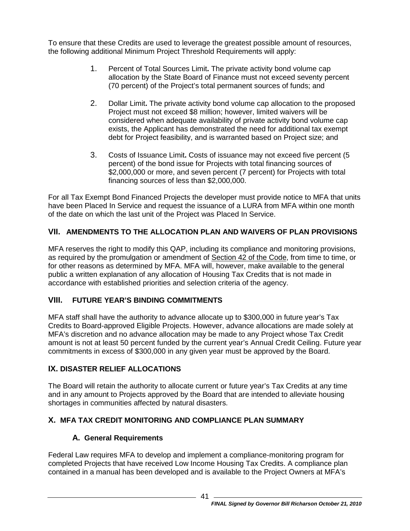To ensure that these Credits are used to leverage the greatest possible amount of resources, the following additional Minimum Project Threshold Requirements will apply:

- 1. Percent of Total Sources Limit**.** The private activity bond volume cap allocation by the State Board of Finance must not exceed seventy percent (70 percent) of the Project's total permanent sources of funds; and
- 2. Dollar Limit**.** The private activity bond volume cap allocation to the proposed Project must not exceed \$8 million; however, limited waivers will be considered when adequate availability of private activity bond volume cap exists, the Applicant has demonstrated the need for additional tax exempt debt for Project feasibility, and is warranted based on Project size; and
- 3. Costs of Issuance Limit**.** Costs of issuance may not exceed five percent (5 percent) of the bond issue for Projects with total financing sources of \$2,000,000 or more, and seven percent (7 percent) for Projects with total financing sources of less than \$2,000,000.

For all Tax Exempt Bond Financed Projects the developer must provide notice to MFA that units have been Placed In Service and request the issuance of a LURA from MFA within one month of the date on which the last unit of the Project was Placed In Service.

# <span id="page-43-0"></span>**VII. AMENDMENTS TO THE ALLOCATION PLAN AND WAIVERS OF PLAN PROVISIONS**

MFA reserves the right to modify this QAP, including its compliance and monitoring provisions, as required by the promulgation or amendment of Section 42 of the Code, from time to time, or for other reasons as determined by MFA. MFA will, however, make available to the general public a written explanation of any allocation of Housing Tax Credits that is not made in accordance with established priorities and selection criteria of the agency.

# <span id="page-43-1"></span>**VIII. FUTURE YEAR'S BINDING COMMITMENTS**

MFA staff shall have the authority to advance allocate up to \$300,000 in future year's Tax Credits to Board-approved Eligible Projects. However, advance allocations are made solely at MFA's discretion and no advance allocation may be made to any Project whose Tax Credit amount is not at least 50 percent funded by the current year's Annual Credit Ceiling. Future year commitments in excess of \$300,000 in any given year must be approved by the Board.

## <span id="page-43-2"></span>**IX. DISASTER RELIEF ALLOCATIONS**

The Board will retain the authority to allocate current or future year's Tax Credits at any time and in any amount to Projects approved by the Board that are intended to alleviate housing shortages in communities affected by natural disasters.

# <span id="page-43-4"></span><span id="page-43-3"></span>**X. MFA TAX CREDIT MONITORING AND COMPLIANCE PLAN SUMMARY**

# **A. General Requirements**

Federal Law requires MFA to develop and implement a compliance-monitoring program for completed Projects that have received Low Income Housing Tax Credits. A compliance plan contained in a manual has been developed and is available to the Project Owners at MFA's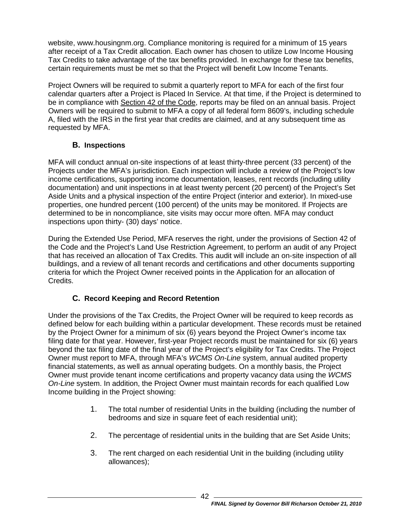website, www.housingnm.org. Compliance monitoring is required for a minimum of 15 years after receipt of a Tax Credit allocation. Each owner has chosen to utilize Low Income Housing Tax Credits to take advantage of the tax benefits provided. In exchange for these tax benefits, certain requirements must be met so that the Project will benefit Low Income Tenants.

Project Owners will be required to submit a quarterly report to MFA for each of the first four calendar quarters after a Project is Placed In Service. At that time, if the Project is determined to be in compliance with Section 42 of the Code, reports may be filed on an annual basis. Project Owners will be required to submit to MFA a copy of all federal form 8609's, including schedule A, filed with the IRS in the first year that credits are claimed, and at any subsequent time as requested by MFA.

## **B. Inspections**

<span id="page-44-0"></span>MFA will conduct annual on-site inspections of at least thirty-three percent (33 percent) of the Projects under the MFA's jurisdiction. Each inspection will include a review of the Project's low income certifications, supporting income documentation, leases, rent records (including utility documentation) and unit inspections in at least twenty percent (20 percent) of the Project's Set Aside Units and a physical inspection of the entire Project (interior and exterior). In mixed-use properties, one hundred percent (100 percent) of the units may be monitored. If Projects are determined to be in noncompliance, site visits may occur more often. MFA may conduct inspections upon thirty- (30) days' notice.

During the Extended Use Period, MFA reserves the right, under the provisions of Section 42 of the Code and the Project's Land Use Restriction Agreement, to perform an audit of any Project that has received an allocation of Tax Credits. This audit will include an on-site inspection of all buildings, and a review of all tenant records and certifications and other documents supporting criteria for which the Project Owner received points in the Application for an allocation of Credits.

# **C. Record Keeping and Record Retention**

<span id="page-44-1"></span>Under the provisions of the Tax Credits, the Project Owner will be required to keep records as defined below for each building within a particular development. These records must be retained by the Project Owner for a minimum of six (6) years beyond the Project Owner's income tax filing date for that year. However, first-year Project records must be maintained for six (6) years beyond the tax filing date of the final year of the Project's eligibility for Tax Credits. The Project Owner must report to MFA, through MFA's *WCMS On-Line* system, annual audited property financial statements, as well as annual operating budgets. On a monthly basis, the Project Owner must provide tenant income certifications and property vacancy data using the *WCMS On-Line* system. In addition, the Project Owner must maintain records for each qualified Low Income building in the Project showing:

- 1. The total number of residential Units in the building (including the number of bedrooms and size in square feet of each residential unit);
- 2. The percentage of residential units in the building that are Set Aside Units;
- 3. The rent charged on each residential Unit in the building (including utility allowances);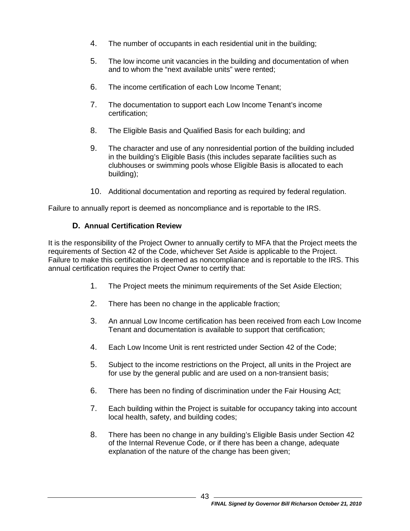- 4. The number of occupants in each residential unit in the building;
- 5. The low income unit vacancies in the building and documentation of when and to whom the "next available units" were rented;
- 6. The income certification of each Low Income Tenant;
- 7. The documentation to support each Low Income Tenant's income certification;
- 8. The Eligible Basis and Qualified Basis for each building; and
- 9. The character and use of any nonresidential portion of the building included in the building's Eligible Basis (this includes separate facilities such as clubhouses or swimming pools whose Eligible Basis is allocated to each building);
- 10. Additional documentation and reporting as required by federal regulation.

<span id="page-45-0"></span>Failure to annually report is deemed as noncompliance and is reportable to the IRS.

## **D. Annual Certification Review**

It is the responsibility of the Project Owner to annually certify to MFA that the Project meets the requirements of Section 42 of the Code, whichever Set Aside is applicable to the Project. Failure to make this certification is deemed as noncompliance and is reportable to the IRS. This annual certification requires the Project Owner to certify that:

- 1. The Project meets the minimum requirements of the Set Aside Election;
- 2. There has been no change in the applicable fraction;
- 3. An annual Low Income certification has been received from each Low Income Tenant and documentation is available to support that certification;
- 4. Each Low Income Unit is rent restricted under Section 42 of the Code;
- 5. Subject to the income restrictions on the Project, all units in the Project are for use by the general public and are used on a non-transient basis;
- 6. There has been no finding of discrimination under the Fair Housing Act;
- 7. Each building within the Project is suitable for occupancy taking into account local health, safety, and building codes;
- 8. There has been no change in any building's Eligible Basis under Section 42 of the Internal Revenue Code, or if there has been a change, adequate explanation of the nature of the change has been given;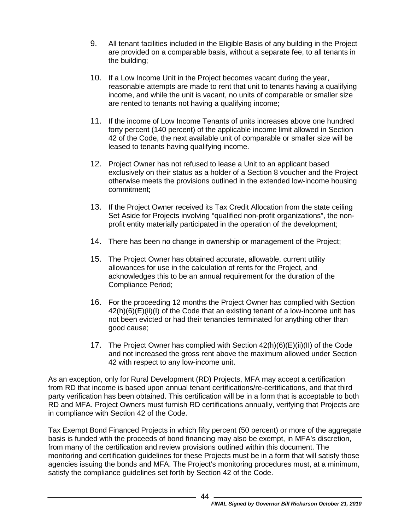- 9. All tenant facilities included in the Eligible Basis of any building in the Project are provided on a comparable basis, without a separate fee, to all tenants in the building;
- 10. If a Low Income Unit in the Project becomes vacant during the year, reasonable attempts are made to rent that unit to tenants having a qualifying income, and while the unit is vacant, no units of comparable or smaller size are rented to tenants not having a qualifying income;
- 11. If the income of Low Income Tenants of units increases above one hundred forty percent (140 percent) of the applicable income limit allowed in Section 42 of the Code, the next available unit of comparable or smaller size will be leased to tenants having qualifying income.
- 12. Project Owner has not refused to lease a Unit to an applicant based exclusively on their status as a holder of a Section 8 voucher and the Project otherwise meets the provisions outlined in the extended low-income housing commitment;
- 13. If the Project Owner received its Tax Credit Allocation from the state ceiling Set Aside for Projects involving "qualified non-profit organizations", the nonprofit entity materially participated in the operation of the development;
- 14. There has been no change in ownership or management of the Project;
- 15. The Project Owner has obtained accurate, allowable, current utility allowances for use in the calculation of rents for the Project, and acknowledges this to be an annual requirement for the duration of the Compliance Period;
- 16. For the proceeding 12 months the Project Owner has complied with Section 42(h)(6)(E)(ii)(I) of the Code that an existing tenant of a low-income unit has not been evicted or had their tenancies terminated for anything other than good cause;
- 17. The Project Owner has complied with Section 42(h)(6)(E)(ii)(II) of the Code and not increased the gross rent above the maximum allowed under Section 42 with respect to any low-income unit.

As an exception, only for Rural Development (RD) Projects, MFA may accept a certification from RD that income is based upon annual tenant certifications/re-certifications, and that third party verification has been obtained. This certification will be in a form that is acceptable to both RD and MFA. Project Owners must furnish RD certifications annually, verifying that Projects are in compliance with Section 42 of the Code.

Tax Exempt Bond Financed Projects in which fifty percent (50 percent) or more of the aggregate basis is funded with the proceeds of bond financing may also be exempt, in MFA's discretion, from many of the certification and review provisions outlined within this document. The monitoring and certification guidelines for these Projects must be in a form that will satisfy those agencies issuing the bonds and MFA. The Project's monitoring procedures must, at a minimum, satisfy the compliance guidelines set forth by Section 42 of the Code.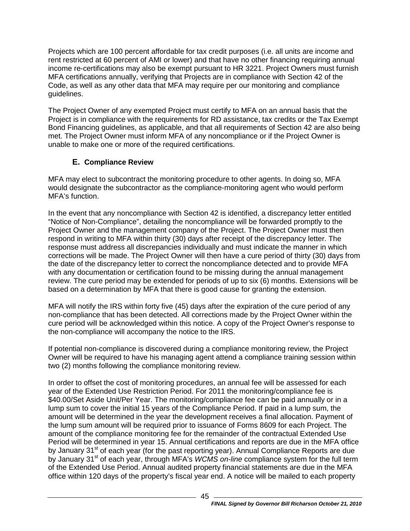Projects which are 100 percent affordable for tax credit purposes (i.e. all units are income and rent restricted at 60 percent of AMI or lower) and that have no other financing requiring annual income re-certifications may also be exempt pursuant to HR 3221. Project Owners must furnish MFA certifications annually, verifying that Projects are in compliance with Section 42 of the Code, as well as any other data that MFA may require per our monitoring and compliance guidelines.

The Project Owner of any exempted Project must certify to MFA on an annual basis that the Project is in compliance with the requirements for RD assistance, tax credits or the Tax Exempt Bond Financing guidelines, as applicable, and that all requirements of Section 42 are also being met. The Project Owner must inform MFA of any noncompliance or if the Project Owner is unable to make one or more of the required certifications.

# **E. Compliance Review**

<span id="page-47-0"></span>MFA may elect to subcontract the monitoring procedure to other agents. In doing so, MFA would designate the subcontractor as the compliance-monitoring agent who would perform MFA's function.

In the event that any noncompliance with Section 42 is identified, a discrepancy letter entitled "Notice of Non-Compliance", detailing the noncompliance will be forwarded promptly to the Project Owner and the management company of the Project. The Project Owner must then respond in writing to MFA within thirty (30) days after receipt of the discrepancy letter. The response must address all discrepancies individually and must indicate the manner in which corrections will be made. The Project Owner will then have a cure period of thirty (30) days from the date of the discrepancy letter to correct the noncompliance detected and to provide MFA with any documentation or certification found to be missing during the annual management review. The cure period may be extended for periods of up to six (6) months. Extensions will be based on a determination by MFA that there is good cause for granting the extension.

MFA will notify the IRS within forty five (45) days after the expiration of the cure period of any non-compliance that has been detected. All corrections made by the Project Owner within the cure period will be acknowledged within this notice. A copy of the Project Owner's response to the non-compliance will accompany the notice to the IRS.

If potential non-compliance is discovered during a compliance monitoring review, the Project Owner will be required to have his managing agent attend a compliance training session within two (2) months following the compliance monitoring review.

In order to offset the cost of monitoring procedures, an annual fee will be assessed for each year of the Extended Use Restriction Period. For 2011 the monitoring/compliance fee is \$40.00/Set Aside Unit/Per Year. The monitoring/compliance fee can be paid annually or in a lump sum to cover the initial 15 years of the Compliance Period. If paid in a lump sum, the amount will be determined in the year the development receives a final allocation. Payment of the lump sum amount will be required prior to issuance of Forms 8609 for each Project. The amount of the compliance monitoring fee for the remainder of the contractual Extended Use Period will be determined in year 15. Annual certifications and reports are due in the MFA office by January 31<sup>st</sup> of each year (for the past reporting year). Annual Compliance Reports are due by January 31<sup>st</sup> of each year, through MFA's *WCMS on-line* compliance system for the full term of the Extended Use Period. Annual audited property financial statements are due in the MFA office within 120 days of the property's fiscal year end. A notice will be mailed to each property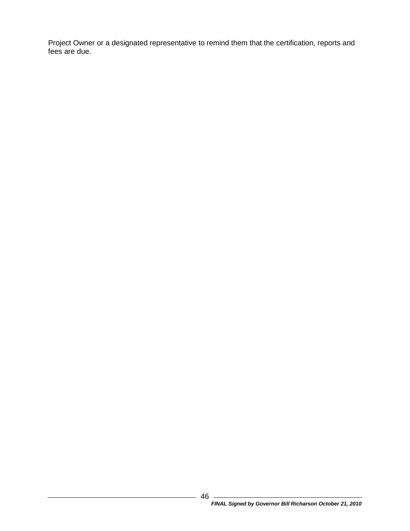Project Owner or a designated representative to remind them that the certification, reports and fees are due.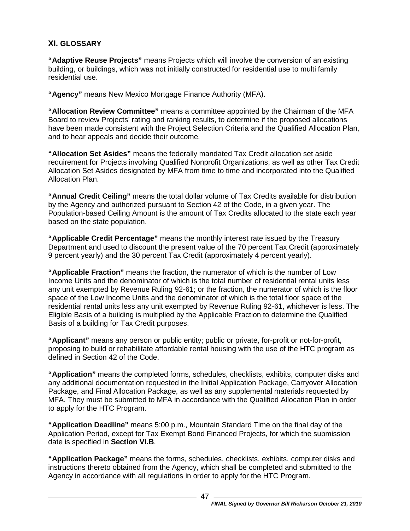## <span id="page-49-0"></span>**XI. GLOSSARY**

**"Adaptive Reuse Projects"** means Projects which will involve the conversion of an existing building, or buildings, which was not initially constructed for residential use to multi family residential use.

**"Agency"** means New Mexico Mortgage Finance Authority (MFA).

**"Allocation Review Committee"** means a committee appointed by the Chairman of the MFA Board to review Projects' rating and ranking results, to determine if the proposed allocations have been made consistent with the Project Selection Criteria and the Qualified Allocation Plan, and to hear appeals and decide their outcome.

**"Allocation Set Asides"** means the federally mandated Tax Credit allocation set aside requirement for Projects involving Qualified Nonprofit Organizations, as well as other Tax Credit Allocation Set Asides designated by MFA from time to time and incorporated into the Qualified Allocation Plan.

**"Annual Credit Ceiling"** means the total dollar volume of Tax Credits available for distribution by the Agency and authorized pursuant to Section 42 of the Code, in a given year. The Population-based Ceiling Amount is the amount of Tax Credits allocated to the state each year based on the state population.

**"Applicable Credit Percentage"** means the monthly interest rate issued by the Treasury Department and used to discount the present value of the 70 percent Tax Credit (approximately 9 percent yearly) and the 30 percent Tax Credit (approximately 4 percent yearly).

**"Applicable Fraction"** means the fraction, the numerator of which is the number of Low Income Units and the denominator of which is the total number of residential rental units less any unit exempted by Revenue Ruling 92-61; or the fraction, the numerator of which is the floor space of the Low Income Units and the denominator of which is the total floor space of the residential rental units less any unit exempted by Revenue Ruling 92-61, whichever is less. The Eligible Basis of a building is multiplied by the Applicable Fraction to determine the Qualified Basis of a building for Tax Credit purposes.

**"Applicant"** means any person or public entity; public or private, for-profit or not-for-profit, proposing to build or rehabilitate affordable rental housing with the use of the HTC program as defined in Section 42 of the Code.

**"Application"** means the completed forms, schedules, checklists, exhibits, computer disks and any additional documentation requested in the Initial Application Package, Carryover Allocation Package, and Final Allocation Package, as well as any supplemental materials requested by MFA. They must be submitted to MFA in accordance with the Qualified Allocation Plan in order to apply for the HTC Program.

**"Application Deadline"** means 5:00 p.m., Mountain Standard Time on the final day of the Application Period, except for Tax Exempt Bond Financed Projects, for which the submission date is specified in **Section VI.B**.

**"Application Package"** means the forms, schedules, checklists, exhibits, computer disks and instructions thereto obtained from the Agency, which shall be completed and submitted to the Agency in accordance with all regulations in order to apply for the HTC Program.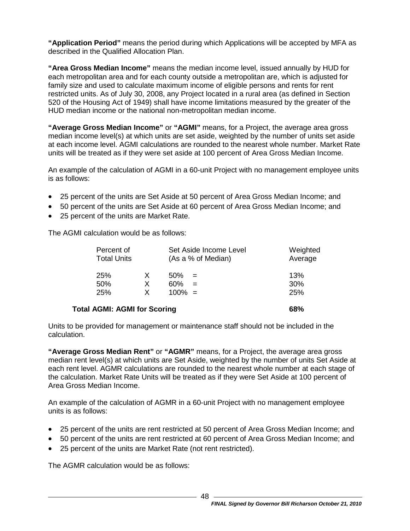**"Application Period"** means the period during which Applications will be accepted by MFA as described in the Qualified Allocation Plan.

**"Area Gross Median Income"** means the median income level, issued annually by HUD for each metropolitan area and for each county outside a metropolitan are, which is adjusted for family size and used to calculate maximum income of eligible persons and rents for rent restricted units. As of July 30, 2008, any Project located in a rural area (as defined in Section 520 of the Housing Act of 1949) shall have income limitations measured by the greater of the HUD median income or the national non-metropolitan median income.

**"Average Gross Median Income"** or **"AGMI"** means, for a Project, the average area gross median income level(s) at which units are set aside, weighted by the number of units set aside at each income level. AGMI calculations are rounded to the nearest whole number. Market Rate units will be treated as if they were set aside at 100 percent of Area Gross Median Income.

An example of the calculation of AGMI in a 60-unit Project with no management employee units is as follows:

- 25 percent of the units are Set Aside at 50 percent of Area Gross Median Income; and
- 50 percent of the units are Set Aside at 60 percent of Area Gross Median Income; and
- 25 percent of the units are Market Rate.

The AGMI calculation would be as follows:

| Percent of<br><b>Total Units</b>    |             | Set Aside Income Level<br>(As a % of Median) | Weighted<br>Average |
|-------------------------------------|-------------|----------------------------------------------|---------------------|
| 25%<br>50%<br>25%                   | X<br>X<br>X | 50%<br>$=$<br>60%<br>$=$<br>$100\% =$        | 13%<br>30%<br>25%   |
| <b>Total AGMI: AGMI for Scoring</b> |             |                                              | 68%                 |

Units to be provided for management or maintenance staff should not be included in the calculation.

**"Average Gross Median Rent"** or **"AGMR"** means, for a Project, the average area gross median rent level(s) at which units are Set Aside, weighted by the number of units Set Aside at each rent level. AGMR calculations are rounded to the nearest whole number at each stage of the calculation. Market Rate Units will be treated as if they were Set Aside at 100 percent of Area Gross Median Income.

An example of the calculation of AGMR in a 60-unit Project with no management employee units is as follows:

- 25 percent of the units are rent restricted at 50 percent of Area Gross Median Income; and
- 50 percent of the units are rent restricted at 60 percent of Area Gross Median Income; and
- 25 percent of the units are Market Rate (not rent restricted).

The AGMR calculation would be as follows: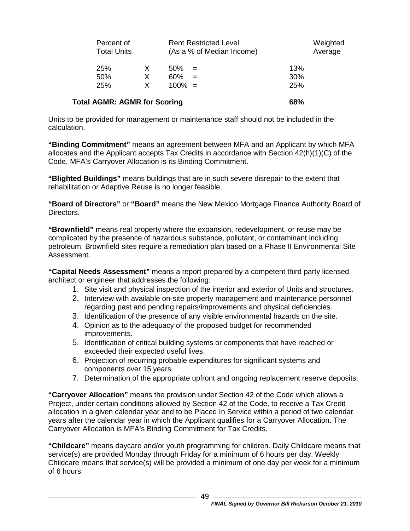|                                     | Percent of<br><b>Total Units</b> |             |                         | <b>Rent Restricted Level</b><br>(As a % of Median Income) |                   | Weighted<br>Average |
|-------------------------------------|----------------------------------|-------------|-------------------------|-----------------------------------------------------------|-------------------|---------------------|
| 25%<br>50%<br>25%                   |                                  | X<br>X<br>X | 50%<br>60%<br>$100\% =$ | $\mathbf{r} = \mathbf{r}$<br>$=$                          | 13%<br>30%<br>25% |                     |
| <b>Total AGMR: AGMR for Scoring</b> |                                  |             |                         |                                                           | 68%               |                     |

Units to be provided for management or maintenance staff should not be included in the calculation.

**"Binding Commitment"** means an agreement between MFA and an Applicant by which MFA allocates and the Applicant accepts Tax Credits in accordance with Section 42(h)(1)(C) of the Code. MFA's Carryover Allocation is its Binding Commitment.

**"Blighted Buildings"** means buildings that are in such severe disrepair to the extent that rehabilitation or Adaptive Reuse is no longer feasible.

**"Board of Directors"** or **"Board"** means the New Mexico Mortgage Finance Authority Board of Directors.

**"Brownfield"** means real property where the expansion, redevelopment, or reuse may be complicated by the presence of hazardous substance, pollutant, or contaminant including petroleum. Brownfield sites require a remediation plan based on a Phase II Environmental Site Assessment.

**"Capital Needs Assessment"** means a report prepared by a competent third party licensed architect or engineer that addresses the following:

- 1. Site visit and physical inspection of the interior and exterior of Units and structures.
- 2. Interview with available on-site property management and maintenance personnel regarding past and pending repairs/improvements and physical deficiencies.
- 3. Identification of the presence of any visible environmental hazards on the site.
- 4. Opinion as to the adequacy of the proposed budget for recommended improvements.
- 5. Identification of critical building systems or components that have reached or exceeded their expected useful lives.
- 6. Projection of recurring probable expenditures for significant systems and components over 15 years.
- 7. Determination of the appropriate upfront and ongoing replacement reserve deposits.

**"Carryover Allocation"** means the provision under Section 42 of the Code which allows a Project, under certain conditions allowed by Section 42 of the Code, to receive a Tax Credit allocation in a given calendar year and to be Placed In Service within a period of two calendar years after the calendar year in which the Applicant qualifies for a Carryover Allocation. The Carryover Allocation is MFA's Binding Commitment for Tax Credits.

**"Childcare"** means daycare and/or youth programming for children. Daily Childcare means that service(s) are provided Monday through Friday for a minimum of 6 hours per day. Weekly Childcare means that service(s) will be provided a minimum of one day per week for a minimum of 6 hours.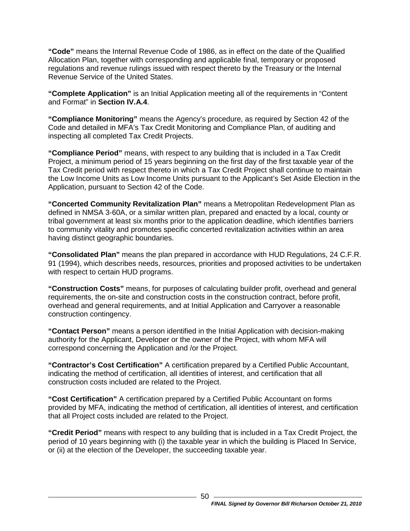**"Code"** means the Internal Revenue Code of 1986, as in effect on the date of the Qualified Allocation Plan, together with corresponding and applicable final, temporary or proposed regulations and revenue rulings issued with respect thereto by the Treasury or the Internal Revenue Service of the United States.

**"Complete Application"** is an Initial Application meeting all of the requirements in "Content and Format" in **Section [IV.A.4](#page-22-1)**.

**"Compliance Monitoring"** means the Agency's procedure, as required by Section 42 of the Code and detailed in MFA's Tax Credit Monitoring and Compliance Plan, of auditing and inspecting all completed Tax Credit Projects.

**"Compliance Period"** means, with respect to any building that is included in a Tax Credit Project, a minimum period of 15 years beginning on the first day of the first taxable year of the Tax Credit period with respect thereto in which a Tax Credit Project shall continue to maintain the Low Income Units as Low Income Units pursuant to the Applicant's Set Aside Election in the Application, pursuant to Section 42 of the Code.

**"Concerted Community Revitalization Plan"** means a Metropolitan Redevelopment Plan as defined in NMSA 3-60A, or a similar written plan, prepared and enacted by a local, county or tribal government at least six months prior to the application deadline, which identifies barriers to community vitality and promotes specific concerted revitalization activities within an area having distinct geographic boundaries.

**"Consolidated Plan"** means the plan prepared in accordance with HUD Regulations, 24 C.F.R. 91 (1994), which describes needs, resources, priorities and proposed activities to be undertaken with respect to certain HUD programs.

**"Construction Costs"** means, for purposes of calculating builder profit, overhead and general requirements, the on-site and construction costs in the construction contract, before profit, overhead and general requirements, and at Initial Application and Carryover a reasonable construction contingency.

**"Contact Person"** means a person identified in the Initial Application with decision-making authority for the Applicant, Developer or the owner of the Project, with whom MFA will correspond concerning the Application and /or the Project.

**"Contractor's Cost Certification"** A certification prepared by a Certified Public Accountant, indicating the method of certification, all identities of interest, and certification that all construction costs included are related to the Project.

**"Cost Certification"** A certification prepared by a Certified Public Accountant on forms provided by MFA, indicating the method of certification, all identities of interest, and certification that all Project costs included are related to the Project.

**"Credit Period"** means with respect to any building that is included in a Tax Credit Project, the period of 10 years beginning with (i) the taxable year in which the building is Placed In Service, or (ii) at the election of the Developer, the succeeding taxable year.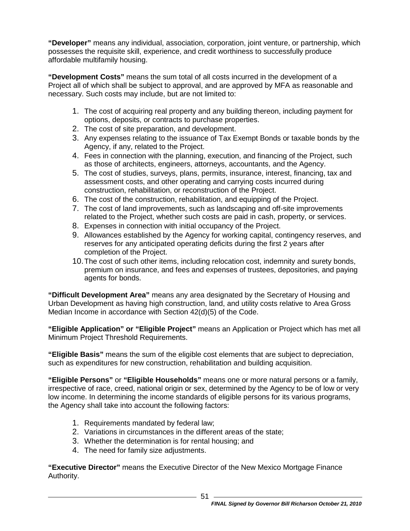**"Developer"** means any individual, association, corporation, joint venture, or partnership, which possesses the requisite skill, experience, and credit worthiness to successfully produce affordable multifamily housing.

**"Development Costs"** means the sum total of all costs incurred in the development of a Project all of which shall be subject to approval, and are approved by MFA as reasonable and necessary. Such costs may include, but are not limited to:

- 1. The cost of acquiring real property and any building thereon, including payment for options, deposits, or contracts to purchase properties.
- 2. The cost of site preparation, and development.
- 3. Any expenses relating to the issuance of Tax Exempt Bonds or taxable bonds by the Agency, if any, related to the Project.
- 4. Fees in connection with the planning, execution, and financing of the Project, such as those of architects, engineers, attorneys, accountants, and the Agency.
- 5. The cost of studies, surveys, plans, permits, insurance, interest, financing, tax and assessment costs, and other operating and carrying costs incurred during construction, rehabilitation, or reconstruction of the Project.
- 6. The cost of the construction, rehabilitation, and equipping of the Project.
- 7. The cost of land improvements, such as landscaping and off-site improvements related to the Project, whether such costs are paid in cash, property, or services.
- 8. Expenses in connection with initial occupancy of the Project.
- 9. Allowances established by the Agency for working capital, contingency reserves, and reserves for any anticipated operating deficits during the first 2 years after completion of the Project.
- 10.The cost of such other items, including relocation cost, indemnity and surety bonds, premium on insurance, and fees and expenses of trustees, depositories, and paying agents for bonds.

**"Difficult Development Area"** means any area designated by the Secretary of Housing and Urban Development as having high construction, land, and utility costs relative to Area Gross Median Income in accordance with Section 42(d)(5) of the Code.

**"Eligible Application" or "Eligible Project"** means an Application or Project which has met all Minimum Project Threshold Requirements.

**"Eligible Basis"** means the sum of the eligible cost elements that are subject to depreciation, such as expenditures for new construction, rehabilitation and building acquisition.

**"Eligible Persons"** or **"Eligible Households"** means one or more natural persons or a family, irrespective of race, creed, national origin or sex, determined by the Agency to be of low or very low income. In determining the income standards of eligible persons for its various programs, the Agency shall take into account the following factors:

- 1. Requirements mandated by federal law;
- 2. Variations in circumstances in the different areas of the state;
- 3. Whether the determination is for rental housing; and
- 4. The need for family size adjustments.

**"Executive Director"** means the Executive Director of the New Mexico Mortgage Finance Authority.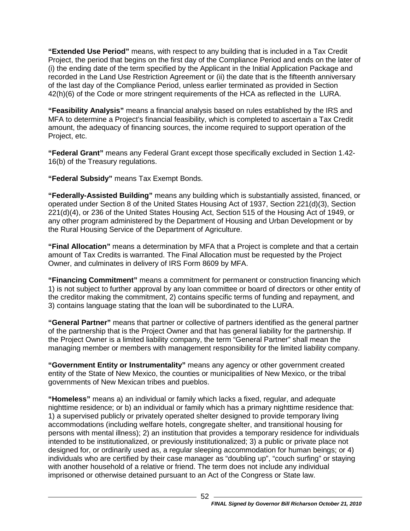**"Extended Use Period"** means, with respect to any building that is included in a Tax Credit Project, the period that begins on the first day of the Compliance Period and ends on the later of (i) the ending date of the term specified by the Applicant in the Initial Application Package and recorded in the Land Use Restriction Agreement or (ii) the date that is the fifteenth anniversary of the last day of the Compliance Period, unless earlier terminated as provided in Section 42(h)(6) of the Code or more stringent requirements of the HCA as reflected in the LURA.

**"Feasibility Analysis"** means a financial analysis based on rules established by the IRS and MFA to determine a Project's financial feasibility, which is completed to ascertain a Tax Credit amount, the adequacy of financing sources, the income required to support operation of the Project, etc.

**"Federal Grant"** means any Federal Grant except those specifically excluded in Section 1.42- 16(b) of the Treasury regulations.

**"Federal Subsidy"** means Tax Exempt Bonds.

**"Federally-Assisted Building"** means any building which is substantially assisted, financed, or operated under Section 8 of the United States Housing Act of 1937, Section 221(d)(3), Section 221(d)(4), or 236 of the United States Housing Act, Section 515 of the Housing Act of 1949, or any other program administered by the Department of Housing and Urban Development or by the Rural Housing Service of the Department of Agriculture.

**"Final Allocation"** means a determination by MFA that a Project is complete and that a certain amount of Tax Credits is warranted. The Final Allocation must be requested by the Project Owner, and culminates in delivery of IRS Form 8609 by MFA.

**"Financing Commitment"** means a commitment for permanent or construction financing which 1) is not subject to further approval by any loan committee or board of directors or other entity of the creditor making the commitment, 2) contains specific terms of funding and repayment, and 3) contains language stating that the loan will be subordinated to the LURA.

**"General Partner"** means that partner or collective of partners identified as the general partner of the partnership that is the Project Owner and that has general liability for the partnership. If the Project Owner is a limited liability company, the term "General Partner" shall mean the managing member or members with management responsibility for the limited liability company.

**"Government Entity or Instrumentality"** means any agency or other government created entity of the State of New Mexico, the counties or municipalities of New Mexico, or the tribal governments of New Mexican tribes and pueblos.

**"Homeless"** means a) an individual or family which lacks a fixed, regular, and adequate nighttime residence; or b) an individual or family which has a primary nighttime residence that: 1) a supervised publicly or privately operated shelter designed to provide temporary living accommodations (including welfare hotels, congregate shelter, and transitional housing for persons with mental illness); 2) an institution that provides a temporary residence for individuals intended to be institutionalized, or previously institutionalized; 3) a public or private place not designed for, or ordinarily used as, a regular sleeping accommodation for human beings; or 4) individuals who are certified by their case manager as "doubling up", "couch surfing" or staying with another household of a relative or friend. The term does not include any individual imprisoned or otherwise detained pursuant to an Act of the Congress or State law.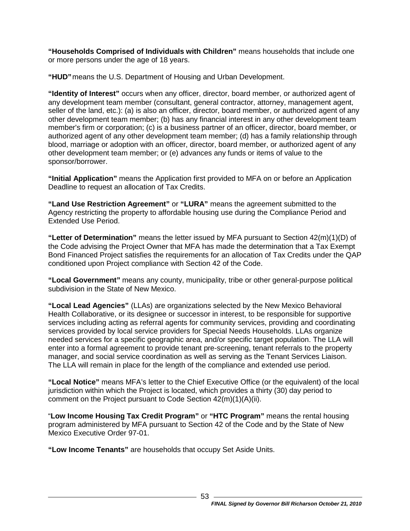**"Households Comprised of Individuals with Children"** means households that include one or more persons under the age of 18 years.

**"HUD"**means the U.S. Department of Housing and Urban Development.

**"Identity of Interest"** occurs when any officer, director, board member, or authorized agent of any development team member (consultant, general contractor, attorney, management agent, seller of the land, etc.): (a) is also an officer, director, board member, or authorized agent of any other development team member; (b) has any financial interest in any other development team member's firm or corporation; (c) is a business partner of an officer, director, board member, or authorized agent of any other development team member; (d) has a family relationship through blood, marriage or adoption with an officer, director, board member, or authorized agent of any other development team member; or (e) advances any funds or items of value to the sponsor/borrower.

**"Initial Application"** means the Application first provided to MFA on or before an Application Deadline to request an allocation of Tax Credits.

**"Land Use Restriction Agreement"** or **"LURA"** means the agreement submitted to the Agency restricting the property to affordable housing use during the Compliance Period and Extended Use Period.

**"Letter of Determination"** means the letter issued by MFA pursuant to Section 42(m)(1)(D) of the Code advising the Project Owner that MFA has made the determination that a Tax Exempt Bond Financed Project satisfies the requirements for an allocation of Tax Credits under the QAP conditioned upon Project compliance with Section 42 of the Code.

**"Local Government"** means any county, municipality, tribe or other general-purpose political subdivision in the State of New Mexico.

**"Local Lead Agencies"** (LLAs) are organizations selected by the New Mexico Behavioral Health Collaborative, or its designee or successor in interest, to be responsible for supportive services including acting as referral agents for community services, providing and coordinating services provided by local service providers for Special Needs Households. LLAs organize needed services for a specific geographic area, and/or specific target population. The LLA will enter into a formal agreement to provide tenant pre-screening, tenant referrals to the property manager, and social service coordination as well as serving as the Tenant Services Liaison. The LLA will remain in place for the length of the compliance and extended use period.

**"Local Notice"** means MFA's letter to the Chief Executive Office (or the equivalent) of the local jurisdiction within which the Project is located, which provides a thirty (30) day period to comment on the Project pursuant to Code Section 42(m)(1)(A)(ii).

"**Low Income Housing Tax Credit Program"** or **"HTC Program"** means the rental housing program administered by MFA pursuant to Section 42 of the Code and by the State of New Mexico Executive Order 97-01.

**"Low Income Tenants"** are households that occupy Set Aside Units.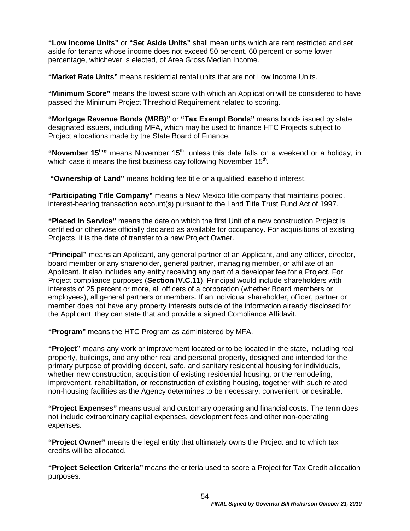**"Low Income Units"** or **"Set Aside Units"** shall mean units which are rent restricted and set aside for tenants whose income does not exceed 50 percent, 60 percent or some lower percentage, whichever is elected, of Area Gross Median Income.

**"Market Rate Units"** means residential rental units that are not Low Income Units.

**"Minimum Score"** means the lowest score with which an Application will be considered to have passed the Minimum Project Threshold Requirement related to scoring.

**"Mortgage Revenue Bonds (MRB)"** or **"Tax Exempt Bonds"** means bonds issued by state designated issuers, including MFA, which may be used to finance HTC Projects subject to Project allocations made by the State Board of Finance.

"November 15<sup>th</sup>" means November 15<sup>th</sup>, unless this date falls on a weekend or a holiday, in which case it means the first business day following November  $15<sup>th</sup>$ .

**"Ownership of Land"** means holding fee title or a qualified leasehold interest.

**"Participating Title Company"** means a New Mexico title company that maintains pooled, interest-bearing transaction account(s) pursuant to the Land Title Trust Fund Act of 1997.

**"Placed in Service"** means the date on which the first Unit of a new construction Project is certified or otherwise officially declared as available for occupancy. For acquisitions of existing Projects, it is the date of transfer to a new Project Owner.

**"Principal"** means an Applicant, any general partner of an Applicant, and any officer, director, board member or any shareholder, general partner, managing member, or affiliate of an Applicant. It also includes any entity receiving any part of a developer fee for a Project. For Project compliance purposes (**Section IV.C.11**), Principal would include shareholders with interests of 25 percent or more, all officers of a corporation (whether Board members or employees), all general partners or members. If an individual shareholder, officer, partner or member does not have any property interests outside of the information already disclosed for the Applicant, they can state that and provide a signed Compliance Affidavit.

**"Program"** means the HTC Program as administered by MFA.

**"Project"** means any work or improvement located or to be located in the state, including real property, buildings, and any other real and personal property, designed and intended for the primary purpose of providing decent, safe, and sanitary residential housing for individuals, whether new construction, acquisition of existing residential housing, or the remodeling, improvement, rehabilitation, or reconstruction of existing housing, together with such related non-housing facilities as the Agency determines to be necessary, convenient, or desirable.

**"Project Expenses"** means usual and customary operating and financial costs. The term does not include extraordinary capital expenses, development fees and other non-operating expenses.

**"Project Owner"** means the legal entity that ultimately owns the Project and to which tax credits will be allocated.

**"Project Selection Criteria"** means the criteria used to score a Project for Tax Credit allocation purposes.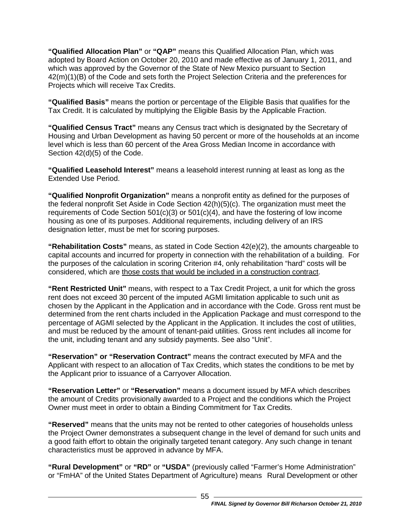**"Qualified Allocation Plan"** or **"QAP"** means this Qualified Allocation Plan, which was adopted by Board Action on October 20, 2010 and made effective as of January 1, 2011, and which was approved by the Governor of the State of New Mexico pursuant to Section 42(m)(1)(B) of the Code and sets forth the Project Selection Criteria and the preferences for Projects which will receive Tax Credits.

**"Qualified Basis"** means the portion or percentage of the Eligible Basis that qualifies for the Tax Credit. It is calculated by multiplying the Eligible Basis by the Applicable Fraction.

**"Qualified Census Tract"** means any Census tract which is designated by the Secretary of Housing and Urban Development as having 50 percent or more of the households at an income level which is less than 60 percent of the Area Gross Median Income in accordance with Section 42(d)(5) of the Code.

**"Qualified Leasehold Interest"** means a leasehold interest running at least as long as the Extended Use Period.

**"Qualified Nonprofit Organization"** means a nonprofit entity as defined for the purposes of the federal nonprofit Set Aside in Code Section 42(h)(5)(c). The organization must meet the requirements of Code Section  $501(c)(3)$  or  $501(c)(4)$ , and have the fostering of low income housing as one of its purposes. Additional requirements, including delivery of an IRS designation letter, must be met for scoring purposes.

**"Rehabilitation Costs"** means, as stated in Code Section 42(e)(2), the amounts chargeable to capital accounts and incurred for property in connection with the rehabilitation of a building. For the purposes of the calculation in scoring Criterion #4, only rehabilitation "hard" costs will be considered, which are those costs that would be included in a construction contract.

**"Rent Restricted Unit"** means, with respect to a Tax Credit Project, a unit for which the gross rent does not exceed 30 percent of the imputed AGMI limitation applicable to such unit as chosen by the Applicant in the Application and in accordance with the Code. Gross rent must be determined from the rent charts included in the Application Package and must correspond to the percentage of AGMI selected by the Applicant in the Application. It includes the cost of utilities, and must be reduced by the amount of tenant-paid utilities. Gross rent includes all income for the unit, including tenant and any subsidy payments. See also "Unit".

**"Reservation" or "Reservation Contract"** means the contract executed by MFA and the Applicant with respect to an allocation of Tax Credits, which states the conditions to be met by the Applicant prior to issuance of a Carryover Allocation.

**"Reservation Letter"** or **"Reservation"** means a document issued by MFA which describes the amount of Credits provisionally awarded to a Project and the conditions which the Project Owner must meet in order to obtain a Binding Commitment for Tax Credits.

**"Reserved"** means that the units may not be rented to other categories of households unless the Project Owner demonstrates a subsequent change in the level of demand for such units and a good faith effort to obtain the originally targeted tenant category. Any such change in tenant characteristics must be approved in advance by MFA.

**"Rural Development"** or **"RD"** or **"USDA"** (previously called "Farmer's Home Administration" or "FmHA" of the United States Department of Agriculture) means Rural Development or other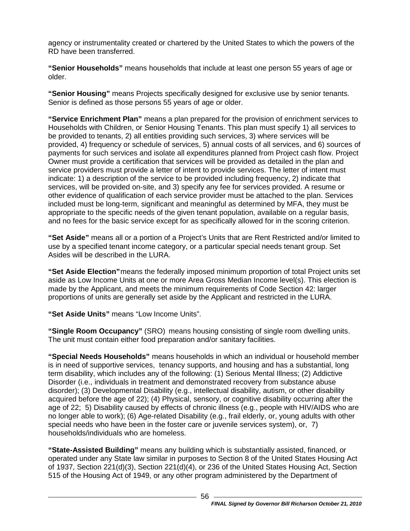agency or instrumentality created or chartered by the United States to which the powers of the RD have been transferred.

**"Senior Households"** means households that include at least one person 55 years of age or older.

**"Senior Housing"** means Projects specifically designed for exclusive use by senior tenants. Senior is defined as those persons 55 years of age or older.

**"Service Enrichment Plan"** means a plan prepared for the provision of enrichment services to Households with Children, or Senior Housing Tenants. This plan must specify 1) all services to be provided to tenants, 2) all entities providing such services, 3) where services will be provided, 4) frequency or schedule of services, 5) annual costs of all services, and 6) sources of payments for such services and isolate all expenditures planned from Project cash flow. Project Owner must provide a certification that services will be provided as detailed in the plan and service providers must provide a letter of intent to provide services. The letter of intent must indicate: 1) a description of the service to be provided including frequency, 2) indicate that services, will be provided on-site, and 3) specify any fee for services provided. A resume or other evidence of qualification of each service provider must be attached to the plan. Services included must be long-term, significant and meaningful as determined by MFA, they must be appropriate to the specific needs of the given tenant population, available on a regular basis, and no fees for the basic service except for as specifically allowed for in the scoring criterion.

**"Set Aside"** means all or a portion of a Project's Units that are Rent Restricted and/or limited to use by a specified tenant income category, or a particular special needs tenant group. Set Asides will be described in the LURA.

**"Set Aside Election"**means the federally imposed minimum proportion of total Project units set aside as Low Income Units at one or more Area Gross Median Income level(s). This election is made by the Applicant, and meets the minimum requirements of Code Section 42: larger proportions of units are generally set aside by the Applicant and restricted in the LURA.

**"Set Aside Units"** means "Low Income Units".

**"Single Room Occupancy"** (SRO) means housing consisting of single room dwelling units. The unit must contain either food preparation and/or sanitary facilities.

**"Special Needs Households"** means households in which an individual or household member is in need of supportive services, tenancy supports, and housing and has a substantial, long term disability, which includes any of the following: (1) Serious Mental Illness; (2) Addictive Disorder (i.e., individuals in treatment and demonstrated recovery from substance abuse disorder); (3) Developmental Disability (e.g., intellectual disability, autism, or other disability acquired before the age of 22); (4) Physical, sensory, or cognitive disability occurring after the age of 22; 5) Disability caused by effects of chronic illness (e.g., people with HIV/AIDS who are no longer able to work); (6) Age-related Disability (e.g., frail elderly, or, young adults with other special needs who have been in the foster care or juvenile services system), or, 7) households/individuals who are homeless.

**"State-Assisted Building"** means any building which is substantially assisted, financed, or operated under any State law similar in purposes to Section 8 of the United States Housing Act of 1937, Section 221(d)(3), Section 221(d)(4), or 236 of the United States Housing Act, Section 515 of the Housing Act of 1949, or any other program administered by the Department of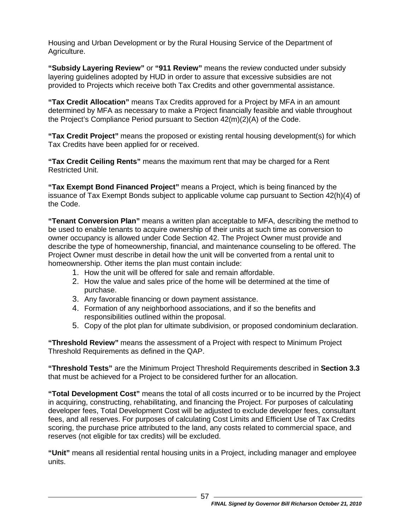Housing and Urban Development or by the Rural Housing Service of the Department of Agriculture.

**"Subsidy Layering Review"** or **"911 Review"** means the review conducted under subsidy layering guidelines adopted by HUD in order to assure that excessive subsidies are not provided to Projects which receive both Tax Credits and other governmental assistance.

**"Tax Credit Allocation"** means Tax Credits approved for a Project by MFA in an amount determined by MFA as necessary to make a Project financially feasible and viable throughout the Project's Compliance Period pursuant to Section 42(m)(2)(A) of the Code.

**"Tax Credit Project"** means the proposed or existing rental housing development(s) for which Tax Credits have been applied for or received.

**"Tax Credit Ceiling Rents"** means the maximum rent that may be charged for a Rent Restricted Unit.

**"Tax Exempt Bond Financed Project"** means a Project, which is being financed by the issuance of Tax Exempt Bonds subject to applicable volume cap pursuant to Section 42(h)(4) of the Code.

**"Tenant Conversion Plan"** means a written plan acceptable to MFA, describing the method to be used to enable tenants to acquire ownership of their units at such time as conversion to owner occupancy is allowed under Code Section 42. The Project Owner must provide and describe the type of homeownership, financial, and maintenance counseling to be offered. The Project Owner must describe in detail how the unit will be converted from a rental unit to homeownership. Other items the plan must contain include:

- 1. How the unit will be offered for sale and remain affordable.
- 2. How the value and sales price of the home will be determined at the time of purchase.
- 3. Any favorable financing or down payment assistance.
- 4. Formation of any neighborhood associations, and if so the benefits and responsibilities outlined within the proposal.
- 5. Copy of the plot plan for ultimate subdivision, or proposed condominium declaration.

**"Threshold Review"** means the assessment of a Project with respect to Minimum Project Threshold Requirements as defined in the QAP.

**"Threshold Tests"** are the Minimum Project Threshold Requirements described in **Section 3.3** that must be achieved for a Project to be considered further for an allocation.

**"Total Development Cost"** means the total of all costs incurred or to be incurred by the Project in acquiring, constructing, rehabilitating, and financing the Project. For purposes of calculating developer fees, Total Development Cost will be adjusted to exclude developer fees, consultant fees, and all reserves. For purposes of calculating Cost Limits and Efficient Use of Tax Credits scoring, the purchase price attributed to the land, any costs related to commercial space, and reserves (not eligible for tax credits) will be excluded.

**"Unit"** means all residential rental housing units in a Project, including manager and employee units.